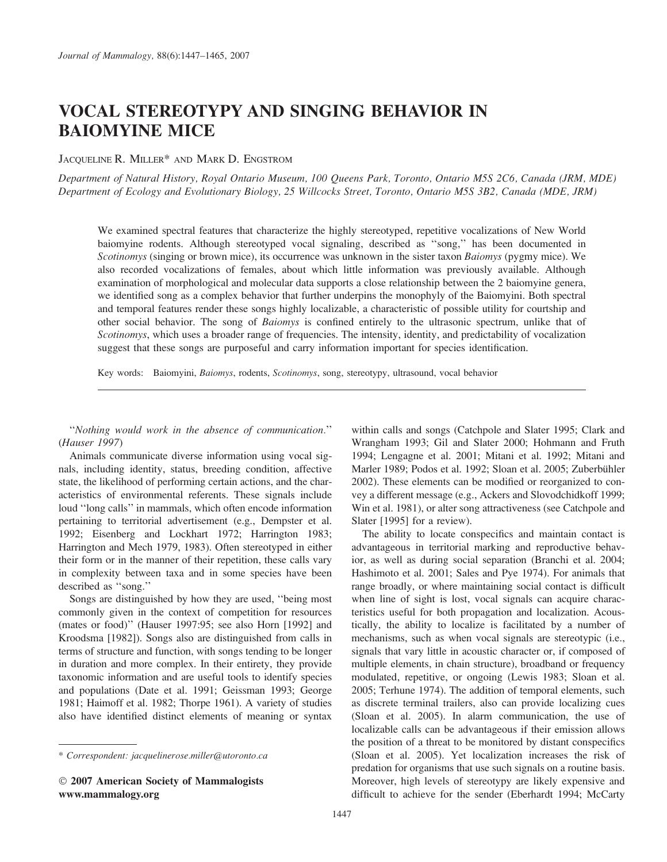# VOCAL STEREOTYPY AND SINGING BEHAVIOR IN BAIOMYINE MICE

JACQUELINE R. MILLER\* AND MARK D. ENGSTROM

Department of Natural History, Royal Ontario Museum, 100 Queens Park, Toronto, Ontario M5S 2C6, Canada (JRM, MDE) Department of Ecology and Evolutionary Biology, 25 Willcocks Street, Toronto, Ontario M5S 3B2, Canada (MDE, JRM)

We examined spectral features that characterize the highly stereotyped, repetitive vocalizations of New World baiomyine rodents. Although stereotyped vocal signaling, described as ''song,'' has been documented in Scotinomys (singing or brown mice), its occurrence was unknown in the sister taxon Baiomys (pygmy mice). We also recorded vocalizations of females, about which little information was previously available. Although examination of morphological and molecular data supports a close relationship between the 2 baiomyine genera, we identified song as a complex behavior that further underpins the monophyly of the Baiomyini. Both spectral and temporal features render these songs highly localizable, a characteristic of possible utility for courtship and other social behavior. The song of Baiomys is confined entirely to the ultrasonic spectrum, unlike that of Scotinomys, which uses a broader range of frequencies. The intensity, identity, and predictability of vocalization suggest that these songs are purposeful and carry information important for species identification.

Key words: Baiomyini, Baiomys, rodents, Scotinomys, song, stereotypy, ultrasound, vocal behavior

''Nothing would work in the absence of communication.'' (Hauser 1997)

Animals communicate diverse information using vocal signals, including identity, status, breeding condition, affective state, the likelihood of performing certain actions, and the characteristics of environmental referents. These signals include loud ''long calls'' in mammals, which often encode information pertaining to territorial advertisement (e.g., Dempster et al. 1992; Eisenberg and Lockhart 1972; Harrington 1983; Harrington and Mech 1979, 1983). Often stereotyped in either their form or in the manner of their repetition, these calls vary in complexity between taxa and in some species have been described as ''song.''

Songs are distinguished by how they are used, ''being most commonly given in the context of competition for resources (mates or food)'' (Hauser 1997:95; see also Horn [1992] and Kroodsma [1982]). Songs also are distinguished from calls in terms of structure and function, with songs tending to be longer in duration and more complex. In their entirety, they provide taxonomic information and are useful tools to identify species and populations (Date et al. 1991; Geissman 1993; George 1981; Haimoff et al. 1982; Thorpe 1961). A variety of studies also have identified distinct elements of meaning or syntax

- 2007 American Society of Mammalogists www.mammalogy.org

within calls and songs (Catchpole and Slater 1995; Clark and Wrangham 1993; Gil and Slater 2000; Hohmann and Fruth 1994; Lengagne et al. 2001; Mitani et al. 1992; Mitani and Marler 1989; Podos et al. 1992; Sloan et al. 2005; Zuberbühler 2002). These elements can be modified or reorganized to convey a different message (e.g., Ackers and Slovodchidkoff 1999; Win et al. 1981), or alter song attractiveness (see Catchpole and Slater [1995] for a review).

The ability to locate conspecifics and maintain contact is advantageous in territorial marking and reproductive behavior, as well as during social separation (Branchi et al. 2004; Hashimoto et al. 2001; Sales and Pye 1974). For animals that range broadly, or where maintaining social contact is difficult when line of sight is lost, vocal signals can acquire characteristics useful for both propagation and localization. Acoustically, the ability to localize is facilitated by a number of mechanisms, such as when vocal signals are stereotypic (i.e., signals that vary little in acoustic character or, if composed of multiple elements, in chain structure), broadband or frequency modulated, repetitive, or ongoing (Lewis 1983; Sloan et al. 2005; Terhune 1974). The addition of temporal elements, such as discrete terminal trailers, also can provide localizing cues (Sloan et al. 2005). In alarm communication, the use of localizable calls can be advantageous if their emission allows the position of a threat to be monitored by distant conspecifics (Sloan et al. 2005). Yet localization increases the risk of predation for organisms that use such signals on a routine basis. Moreover, high levels of stereotypy are likely expensive and difficult to achieve for the sender (Eberhardt 1994; McCarty

<sup>\*</sup> Correspondent: jacquelinerose.miller@utoronto.ca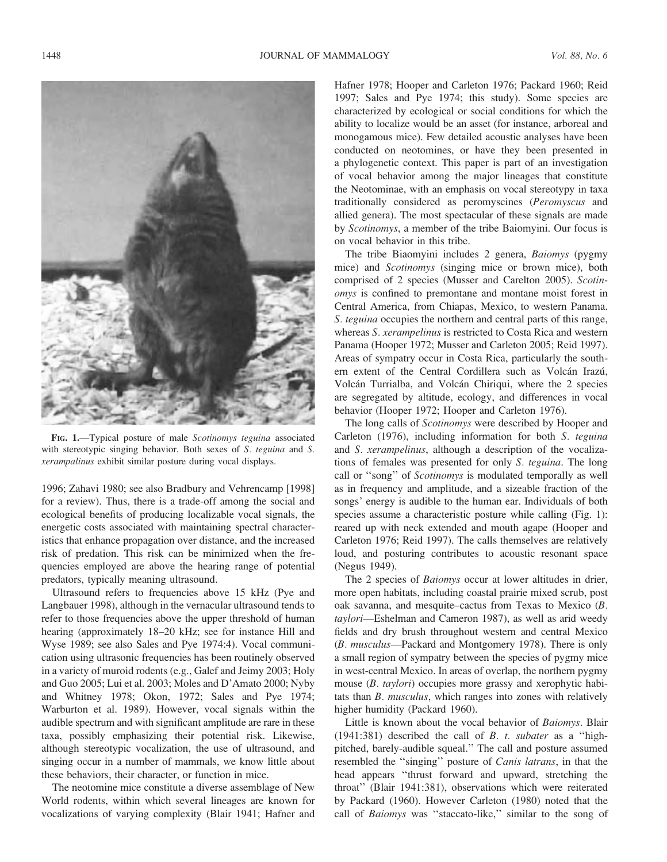

FIG. 1.—Typical posture of male Scotinomys teguina associated with stereotypic singing behavior. Both sexes of S. teguina and S. xerampalinus exhibit similar posture during vocal displays.

1996; Zahavi 1980; see also Bradbury and Vehrencamp [1998] for a review). Thus, there is a trade-off among the social and ecological benefits of producing localizable vocal signals, the energetic costs associated with maintaining spectral characteristics that enhance propagation over distance, and the increased risk of predation. This risk can be minimized when the frequencies employed are above the hearing range of potential predators, typically meaning ultrasound.

Ultrasound refers to frequencies above 15 kHz (Pye and Langbauer 1998), although in the vernacular ultrasound tends to refer to those frequencies above the upper threshold of human hearing (approximately 18–20 kHz; see for instance Hill and Wyse 1989; see also Sales and Pye 1974:4). Vocal communication using ultrasonic frequencies has been routinely observed in a variety of muroid rodents (e.g., Galef and Jeimy 2003; Holy and Guo 2005; Lui et al. 2003; Moles and D'Amato 2000; Nyby and Whitney 1978; Okon, 1972; Sales and Pye 1974; Warburton et al. 1989). However, vocal signals within the audible spectrum and with significant amplitude are rare in these taxa, possibly emphasizing their potential risk. Likewise, although stereotypic vocalization, the use of ultrasound, and singing occur in a number of mammals, we know little about these behaviors, their character, or function in mice.

The neotomine mice constitute a diverse assemblage of New World rodents, within which several lineages are known for vocalizations of varying complexity (Blair 1941; Hafner and Hafner 1978; Hooper and Carleton 1976; Packard 1960; Reid 1997; Sales and Pye 1974; this study). Some species are characterized by ecological or social conditions for which the ability to localize would be an asset (for instance, arboreal and monogamous mice). Few detailed acoustic analyses have been conducted on neotomines, or have they been presented in a phylogenetic context. This paper is part of an investigation of vocal behavior among the major lineages that constitute the Neotominae, with an emphasis on vocal stereotypy in taxa traditionally considered as peromyscines (Peromyscus and allied genera). The most spectacular of these signals are made by Scotinomys, a member of the tribe Baiomyini. Our focus is on vocal behavior in this tribe.

The tribe Biaomyini includes 2 genera, Baiomys (pygmy mice) and Scotinomys (singing mice or brown mice), both comprised of 2 species (Musser and Carelton 2005). Scotinomys is confined to premontane and montane moist forest in Central America, from Chiapas, Mexico, to western Panama. S. teguina occupies the northern and central parts of this range, whereas S. xerampelinus is restricted to Costa Rica and western Panama (Hooper 1972; Musser and Carleton 2005; Reid 1997). Areas of sympatry occur in Costa Rica, particularly the southern extent of the Central Cordillera such as Volcán Irazú, Volcán Turrialba, and Volcán Chiriqui, where the 2 species are segregated by altitude, ecology, and differences in vocal behavior (Hooper 1972; Hooper and Carleton 1976).

The long calls of Scotinomys were described by Hooper and Carleton (1976), including information for both S. teguina and S. xerampelinus, although a description of the vocalizations of females was presented for only S. teguina. The long call or ''song'' of Scotinomys is modulated temporally as well as in frequency and amplitude, and a sizeable fraction of the songs' energy is audible to the human ear. Individuals of both species assume a characteristic posture while calling (Fig. 1): reared up with neck extended and mouth agape (Hooper and Carleton 1976; Reid 1997). The calls themselves are relatively loud, and posturing contributes to acoustic resonant space (Negus 1949).

The 2 species of *Baiomys* occur at lower altitudes in drier, more open habitats, including coastal prairie mixed scrub, post oak savanna, and mesquite–cactus from Texas to Mexico (B. taylori—Eshelman and Cameron 1987), as well as arid weedy fields and dry brush throughout western and central Mexico (B. musculus—Packard and Montgomery 1978). There is only a small region of sympatry between the species of pygmy mice in west-central Mexico. In areas of overlap, the northern pygmy mouse (*B. taylori*) occupies more grassy and xerophytic habitats than B. musculus, which ranges into zones with relatively higher humidity (Packard 1960).

Little is known about the vocal behavior of Baiomys. Blair (1941:381) described the call of  $B$ .  $t$ . subater as a "highpitched, barely-audible squeal.'' The call and posture assumed resembled the ''singing'' posture of Canis latrans, in that the head appears ''thrust forward and upward, stretching the throat'' (Blair 1941:381), observations which were reiterated by Packard (1960). However Carleton (1980) noted that the call of Baiomys was "staccato-like," similar to the song of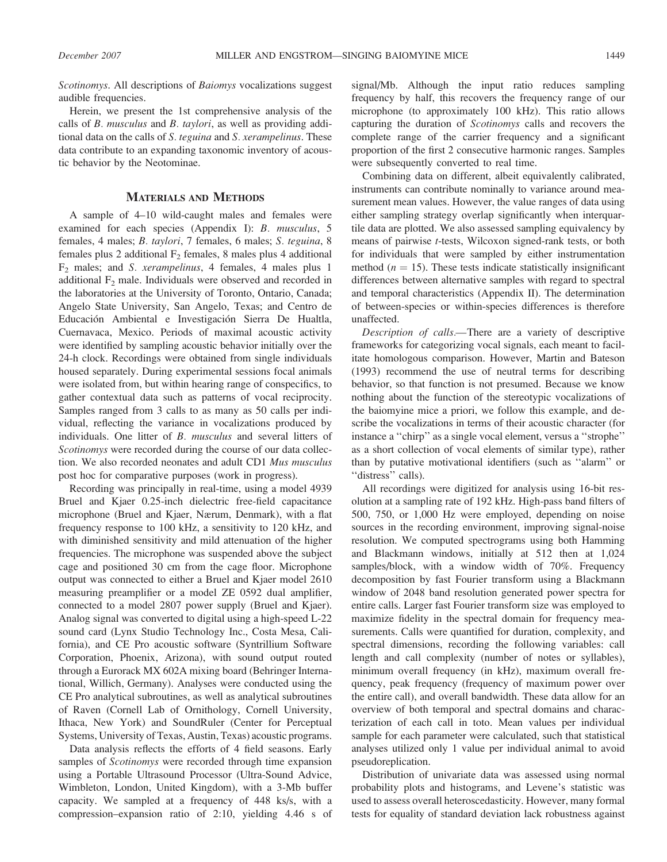Scotinomys. All descriptions of Baiomys vocalizations suggest audible frequencies.

Herein, we present the 1st comprehensive analysis of the calls of B. musculus and B. taylori, as well as providing additional data on the calls of S. teguina and S. xerampelinus. These data contribute to an expanding taxonomic inventory of acoustic behavior by the Neotominae.

# MATERIALS AND METHODS

A sample of 4–10 wild-caught males and females were examined for each species (Appendix I): B. musculus, 5 females, 4 males; B. taylori, 7 females, 6 males; S. teguina, 8 females plus 2 additional  $F_2$  females, 8 males plus 4 additional  $F_2$  males; and S. *xerampelinus*, 4 females, 4 males plus 1 additional  $F_2$  male. Individuals were observed and recorded in the laboratories at the University of Toronto, Ontario, Canada; Angelo State University, San Angelo, Texas; and Centro de Educación Ambiental e Investigación Sierra De Hualtla, Cuernavaca, Mexico. Periods of maximal acoustic activity were identified by sampling acoustic behavior initially over the 24-h clock. Recordings were obtained from single individuals housed separately. During experimental sessions focal animals were isolated from, but within hearing range of conspecifics, to gather contextual data such as patterns of vocal reciprocity. Samples ranged from 3 calls to as many as 50 calls per individual, reflecting the variance in vocalizations produced by individuals. One litter of B. musculus and several litters of Scotinomys were recorded during the course of our data collection. We also recorded neonates and adult CD1 Mus musculus post hoc for comparative purposes (work in progress).

Recording was principally in real-time, using a model 4939 Bruel and Kjaer 0.25-inch dielectric free-field capacitance microphone (Bruel and Kjaer, Nærum, Denmark), with a flat frequency response to 100 kHz, a sensitivity to 120 kHz, and with diminished sensitivity and mild attenuation of the higher frequencies. The microphone was suspended above the subject cage and positioned 30 cm from the cage floor. Microphone output was connected to either a Bruel and Kjaer model 2610 measuring preamplifier or a model ZE 0592 dual amplifier, connected to a model 2807 power supply (Bruel and Kjaer). Analog signal was converted to digital using a high-speed L-22 sound card (Lynx Studio Technology Inc., Costa Mesa, California), and CE Pro acoustic software (Syntrillium Software Corporation, Phoenix, Arizona), with sound output routed through a Eurorack MX 602A mixing board (Behringer International, Willich, Germany). Analyses were conducted using the CE Pro analytical subroutines, as well as analytical subroutines of Raven (Cornell Lab of Ornithology, Cornell University, Ithaca, New York) and SoundRuler (Center for Perceptual Systems, University of Texas, Austin, Texas) acoustic programs.

Data analysis reflects the efforts of 4 field seasons. Early samples of *Scotinomys* were recorded through time expansion using a Portable Ultrasound Processor (Ultra-Sound Advice, Wimbleton, London, United Kingdom), with a 3-Mb buffer capacity. We sampled at a frequency of 448 ks/s, with a compression–expansion ratio of 2:10, yielding 4.46 s of signal/Mb. Although the input ratio reduces sampling frequency by half, this recovers the frequency range of our microphone (to approximately 100 kHz). This ratio allows capturing the duration of Scotinomys calls and recovers the complete range of the carrier frequency and a significant proportion of the first 2 consecutive harmonic ranges. Samples were subsequently converted to real time.

Combining data on different, albeit equivalently calibrated, instruments can contribute nominally to variance around measurement mean values. However, the value ranges of data using either sampling strategy overlap significantly when interquartile data are plotted. We also assessed sampling equivalency by means of pairwise t-tests, Wilcoxon signed-rank tests, or both for individuals that were sampled by either instrumentation method ( $n = 15$ ). These tests indicate statistically insignificant differences between alternative samples with regard to spectral and temporal characteristics (Appendix II). The determination of between-species or within-species differences is therefore unaffected.

Description of calls.—There are a variety of descriptive frameworks for categorizing vocal signals, each meant to facilitate homologous comparison. However, Martin and Bateson (1993) recommend the use of neutral terms for describing behavior, so that function is not presumed. Because we know nothing about the function of the stereotypic vocalizations of the baiomyine mice a priori, we follow this example, and describe the vocalizations in terms of their acoustic character (for instance a ''chirp'' as a single vocal element, versus a ''strophe'' as a short collection of vocal elements of similar type), rather than by putative motivational identifiers (such as ''alarm'' or "distress" calls).

All recordings were digitized for analysis using 16-bit resolution at a sampling rate of 192 kHz. High-pass band filters of 500, 750, or 1,000 Hz were employed, depending on noise sources in the recording environment, improving signal-noise resolution. We computed spectrograms using both Hamming and Blackmann windows, initially at 512 then at 1,024 samples/block, with a window width of 70%. Frequency decomposition by fast Fourier transform using a Blackmann window of 2048 band resolution generated power spectra for entire calls. Larger fast Fourier transform size was employed to maximize fidelity in the spectral domain for frequency measurements. Calls were quantified for duration, complexity, and spectral dimensions, recording the following variables: call length and call complexity (number of notes or syllables), minimum overall frequency (in kHz), maximum overall frequency, peak frequency (frequency of maximum power over the entire call), and overall bandwidth. These data allow for an overview of both temporal and spectral domains and characterization of each call in toto. Mean values per individual sample for each parameter were calculated, such that statistical analyses utilized only 1 value per individual animal to avoid pseudoreplication.

Distribution of univariate data was assessed using normal probability plots and histograms, and Levene's statistic was used to assess overall heteroscedasticity. However, many formal tests for equality of standard deviation lack robustness against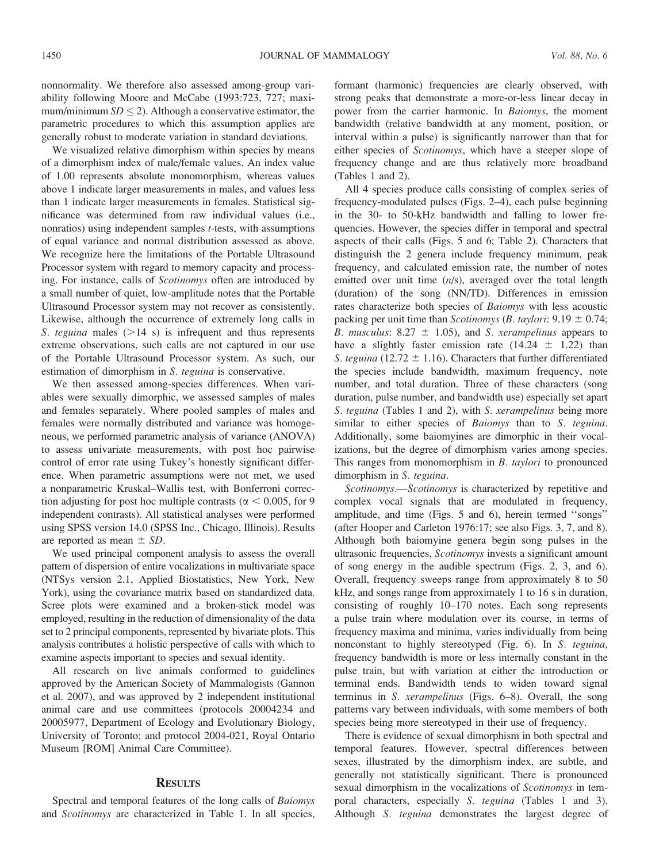nonnormality. We therefore also assessed among-group variability following Moore and McCabe (1993:723, 727; maximum/minimum  $SD \leq 2$ ). Although a conservative estimator, the parametric procedures to which this assumption applies are generally robust to moderate variation in standard deviations.

We visualized relative dimorphism within species by means of a dimorphism index of male/female values. An index value of 1.00 represents absolute monomorphism, whereas values above 1 indicate larger measurements in males, and values less than 1 indicate larger measurements in females. Statistical significance was determined from raw individual values (i.e., nonratios) using independent samples t-tests, with assumptions of equal variance and normal distribution assessed as above. We recognize here the limitations of the Portable Ultrasound Processor system with regard to memory capacity and processing. For instance, calls of Scotinomys often are introduced by a small number of quiet, low-amplitude notes that the Portable Ultrasound Processor system may not recover as consistently. Likewise, although the occurrence of extremely long calls in S. teguina males  $(>= 14 \text{ s})$  is infrequent and thus represents extreme observations, such calls are not captured in our use of the Portable Ultrasound Processor system. As such, our estimation of dimorphism in S. teguina is conservative.

We then assessed among-species differences. When variables were sexually dimorphic, we assessed samples of males and females separately. Where pooled samples of males and females were normally distributed and variance was homogeneous, we performed parametric analysis of variance (ANOVA) to assess univariate measurements, with post hoc pairwise control of error rate using Tukey's honestly significant difference. When parametric assumptions were not met, we used a nonparametric Kruskal–Wallis test, with Bonferroni correction adjusting for post hoc multiple contrasts ( $\alpha$  < 0.005, for 9 independent contrasts). All statistical analyses were performed using SPSS version 14.0 (SPSS Inc., Chicago, Illinois). Results are reported as mean  $\pm$  SD.

We used principal component analysis to assess the overall pattern of dispersion of entire vocalizations in multivariate space (NTSys version 2.1, Applied Biostatistics, New York, New York), using the covariance matrix based on standardized data. Scree plots were examined and a broken-stick model was employed, resulting in the reduction of dimensionality of the data set to 2 principal components, represented by bivariate plots. This analysis contributes a holistic perspective of calls with which to examine aspects important to species and sexual identity.

All research on live animals conformed to guidelines approved by the American Society of Mammalogists (Gannon et al. 2007), and was approved by 2 independent institutional animal care and use committees (protocols 20004234 and 20005977, Department of Ecology and Evolutionary Biology, University of Toronto; and protocol 2004-021, Royal Ontario Museum [ROM] Animal Care Committee).

#### **RESULTS**

Spectral and temporal features of the long calls of Baiomys and Scotinomys are characterized in Table 1. In all species, formant (harmonic) frequencies are clearly observed, with strong peaks that demonstrate a more-or-less linear decay in power from the carrier harmonic. In Baiomys, the moment bandwidth (relative bandwidth at any moment, position, or interval within a pulse) is significantly narrower than that for either species of Scotinomys, which have a steeper slope of frequency change and are thus relatively more broadband (Tables 1 and 2).

All 4 species produce calls consisting of complex series of frequency-modulated pulses (Figs. 2–4), each pulse beginning in the 30- to 50-kHz bandwidth and falling to lower frequencies. However, the species differ in temporal and spectral aspects of their calls (Figs. 5 and 6; Table 2). Characters that distinguish the 2 genera include frequency minimum, peak frequency, and calculated emission rate, the number of notes emitted over unit time  $(n/s)$ , averaged over the total length (duration) of the song (NN/TD). Differences in emission rates characterize both species of Baiomys with less acoustic packing per unit time than *Scotinomys* (*B. taylori:* 9.19  $\pm$  0.74; B. musculus:  $8.27 \pm 1.05$ , and S. xerampelinus appears to have a slightly faster emission rate  $(14.24 \pm 1.22)$  than S. teguina (12.72  $\pm$  1.16). Characters that further differentiated the species include bandwidth, maximum frequency, note number, and total duration. Three of these characters (song duration, pulse number, and bandwidth use) especially set apart S. teguina (Tables 1 and 2), with S. xerampelinus being more similar to either species of Baiomys than to S. teguina. Additionally, some baiomyines are dimorphic in their vocalizations, but the degree of dimorphism varies among species. This ranges from monomorphism in B. taylori to pronounced dimorphism in S. teguina.

Scotinomys.—Scotinomys is characterized by repetitive and complex vocal signals that are modulated in frequency, amplitude, and time (Figs. 5 and 6), herein termed ''songs'' (after Hooper and Carleton 1976:17; see also Figs. 3, 7, and 8). Although both baiomyine genera begin song pulses in the ultrasonic frequencies, Scotinomys invests a significant amount of song energy in the audible spectrum (Figs. 2, 3, and 6). Overall, frequency sweeps range from approximately 8 to 50 kHz, and songs range from approximately 1 to 16 s in duration, consisting of roughly 10–170 notes. Each song represents a pulse train where modulation over its course, in terms of frequency maxima and minima, varies individually from being nonconstant to highly stereotyped (Fig. 6). In S. teguina, frequency bandwidth is more or less internally constant in the pulse train, but with variation at either the introduction or terminal ends. Bandwidth tends to widen toward signal terminus in S. xerampelinus (Figs. 6–8). Overall, the song patterns vary between individuals, with some members of both species being more stereotyped in their use of frequency.

There is evidence of sexual dimorphism in both spectral and temporal features. However, spectral differences between sexes, illustrated by the dimorphism index, are subtle, and generally not statistically significant. There is pronounced sexual dimorphism in the vocalizations of Scotinomys in temporal characters, especially S. teguina (Tables 1 and 3). Although S. teguina demonstrates the largest degree of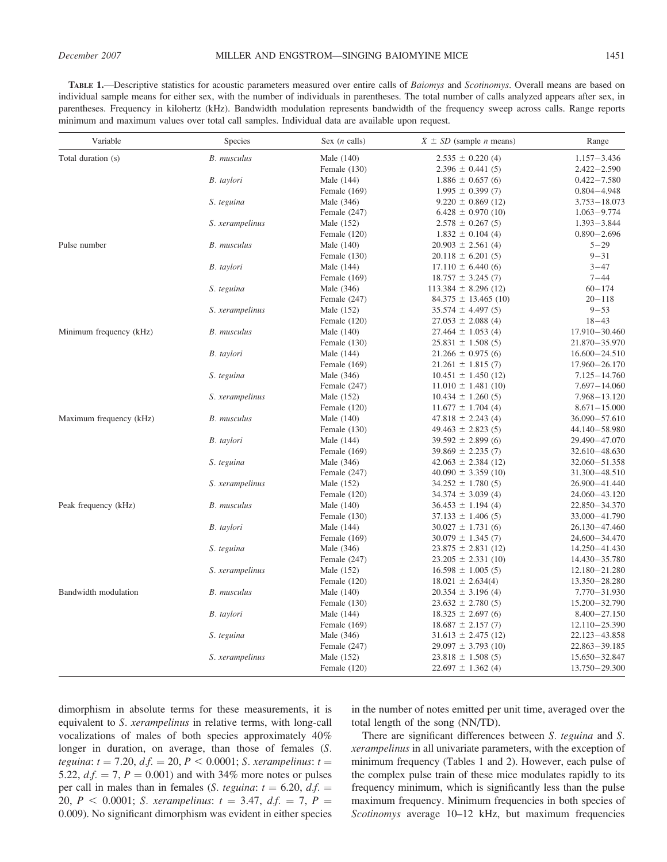TABLE 1.- Descriptive statistics for acoustic parameters measured over entire calls of Baiomys and Scotinomys. Overall means are based on individual sample means for either sex, with the number of individuals in parentheses. The total number of calls analyzed appears after sex, in parentheses. Frequency in kilohertz (kHz). Bandwidth modulation represents bandwidth of the frequency sweep across calls. Range reports minimum and maximum values over total call samples. Individual data are available upon request.

| Variable                | Species            | Sex $(n$ calls) | $\bar{X} \pm SD$ (sample <i>n</i> means) | Range             |
|-------------------------|--------------------|-----------------|------------------------------------------|-------------------|
| Total duration (s)      | <b>B.</b> musculus | Male (140)      | $2.535 \pm 0.220(4)$                     | $1.157 - 3.436$   |
|                         |                    | Female (130)    | $2.396 \pm 0.441(5)$                     | $2.422 - 2.590$   |
|                         | B. taylori         | Male (144)      | $1.886 \pm 0.657(6)$                     | $0.422 - 7.580$   |
|                         |                    | Female (169)    | $1.995 \pm 0.399(7)$                     | $0.804 - 4.948$   |
|                         | S. teguina         | Male (346)      | $9.220 \pm 0.869$ (12)                   | $3.753 - 18.073$  |
|                         |                    | Female $(247)$  | $6.428 \pm 0.970(10)$                    | $1.063 - 9.774$   |
|                         | S. xerampelinus    | Male (152)      | $2.578 \pm 0.267(5)$                     | $1.393 - 3.844$   |
|                         |                    | Female $(120)$  | $1.832 \pm 0.104$ (4)                    | $0.890 - 2.696$   |
| Pulse number            | <b>B.</b> musculus | Male (140)      | $20.903 \pm 2.561$ (4)                   | $5 - 29$          |
|                         |                    | Female $(130)$  | $20.118 \pm 6.201(5)$                    | $9 - 31$          |
|                         | B. taylori         | Male (144)      | $17.110 \pm 6.440(6)$                    | $3 - 47$          |
|                         |                    | Female (169)    | $18.757 \pm 3.245$ (7)                   | $7 - 44$          |
|                         | S. teguina         | Male (346)      | $113.384 \pm 8.296$ (12)                 | $60 - 174$        |
|                         |                    | Female (247)    | $84.375 \pm 13.465$ (10)                 | $20 - 118$        |
|                         | S. xerampelinus    | Male (152)      | $35.574 \pm 4.497(5)$                    | $9 - 53$          |
|                         |                    | Female (120)    | $27.053 \pm 2.088$ (4)                   | $18 - 43$         |
| Minimum frequency (kHz) | <b>B.</b> musculus | Male (140)      | $27.464 \pm 1.053$ (4)                   | $17.910 - 30.460$ |
|                         |                    | Female $(130)$  | $25.831 \pm 1.508$ (5)                   | $21.870 - 35.970$ |
|                         | B. taylori         | Male (144)      | $21.266 \pm 0.975(6)$                    | $16.600 - 24.510$ |
|                         |                    | Female (169)    | $21.261 \pm 1.815$ (7)                   | $17.960 - 26.170$ |
|                         | S. teguina         | Male (346)      | $10.451 \pm 1.450$ (12)                  | $7.125 - 14.760$  |
|                         |                    | Female $(247)$  | $11.010 \pm 1.481$ (10)                  | $7.697 - 14.060$  |
|                         | S. xerampelinus    | Male (152)      | $10.434 \pm 1.260(5)$                    | $7.968 - 13.120$  |
|                         |                    | Female $(120)$  | $11.677 \pm 1.704$ (4)                   | $8.671 - 15.000$  |
| Maximum frequency (kHz) | <b>B.</b> musculus | Male (140)      | $47.818 \pm 2.243$ (4)                   | $36.090 - 57.610$ |
|                         |                    | Female (130)    | $49.463 \pm 2.823$ (5)                   | 44.140-58.980     |
|                         | B. taylori         | Male (144)      | $39.592 \pm 2.899(6)$                    | 29.490 - 47.070   |
|                         |                    | Female $(169)$  | $39.869 \pm 2.235(7)$                    | 32.610 - 48.630   |
|                         | S. teguina         | Male (346)      | $42.063 \pm 2.384$ (12)                  | $32.060 - 51.358$ |
|                         |                    | Female (247)    | $40.090 \pm 3.359$ (10)                  | 31.300 - 48.510   |
|                         | S. xerampelinus    | Male (152)      | $34.252 \pm 1.780(5)$                    | $26.900 - 41.440$ |
|                         |                    | Female $(120)$  | $34.374 \pm 3.039$ (4)                   | 24.060 - 43.120   |
| Peak frequency (kHz)    | <b>B.</b> musculus | Male (140)      | $36.453 \pm 1.194$ (4)                   | 22.850 - 34.370   |
|                         |                    | Female (130)    | $37.133 \pm 1.406$ (5)                   | 33.000 - 41.790   |
|                         | B. taylori         | Male (144)      | $30.027 \pm 1.731$ (6)                   | $26.130 - 47.460$ |
|                         |                    |                 |                                          | 24.600 - 34.470   |
|                         |                    | Female $(169)$  | $30.079 \pm 1.345$ (7)                   |                   |
|                         | S. teguina         | Male (346)      | $23.875 \pm 2.831$ (12)                  | 14.250 - 41.430   |
|                         |                    | Female (247)    | $23.205 \pm 2.331(10)$                   | 14.430 - 35.780   |
|                         | S. xerampelinus    | Male (152)      | $16.598 \pm 1.005$ (5)                   | 12.180 - 21.280   |
|                         |                    | Female $(120)$  | $18.021 \pm 2.634(4)$                    | 13.350 - 28.280   |
| Bandwidth modulation    | <b>B.</b> musculus | Male (140)      | $20.354 \pm 3.196$ (4)                   | 7.770 - 31.930    |
|                         |                    | Female (130)    | $23.632 \pm 2.780(5)$                    | 15.200 - 32.790   |
|                         | B. taylori         | Male (144)      | $18.325 \pm 2.697(6)$                    | $8.400 - 27.150$  |
|                         |                    | Female (169)    | $18.687 \pm 2.157(7)$                    | $12.110 - 25.390$ |
|                         | S. teguina         | Male (346)      | $31.613 \pm 2.475$ (12)                  | 22.123-43.858     |
|                         |                    | Female $(247)$  | $29.097 \pm 3.793$ (10)                  | $22.863 - 39.185$ |
|                         | S. xerampelinus    | Male (152)      | $23.818 \pm 1.508(5)$                    | 15.650 - 32.847   |
|                         |                    | Female $(120)$  | $22.697 \pm 1.362$ (4)                   | 13.750 - 29.300   |

dimorphism in absolute terms for these measurements, it is equivalent to S. xerampelinus in relative terms, with long-call vocalizations of males of both species approximately 40% longer in duration, on average, than those of females (S. teguina:  $t = 7.20$ ,  $df = 20$ ,  $P < 0.0001$ ; S. xerampelinus:  $t =$ 5.22,  $d.f. = 7, P = 0.001$  and with 34% more notes or pulses per call in males than in females (S. teguina:  $t = 6.20$ , d.f. = 20,  $P < 0.0001$ ; S. xerampelinus:  $t = 3.47$ ,  $df = 7$ ,  $P =$ 0.009). No significant dimorphism was evident in either species

in the number of notes emitted per unit time, averaged over the total length of the song (NN/TD).

There are significant differences between *S. teguina* and *S.* xerampelinus in all univariate parameters, with the exception of minimum frequency (Tables 1 and 2). However, each pulse of the complex pulse train of these mice modulates rapidly to its frequency minimum, which is significantly less than the pulse maximum frequency. Minimum frequencies in both species of Scotinomys average 10–12 kHz, but maximum frequencies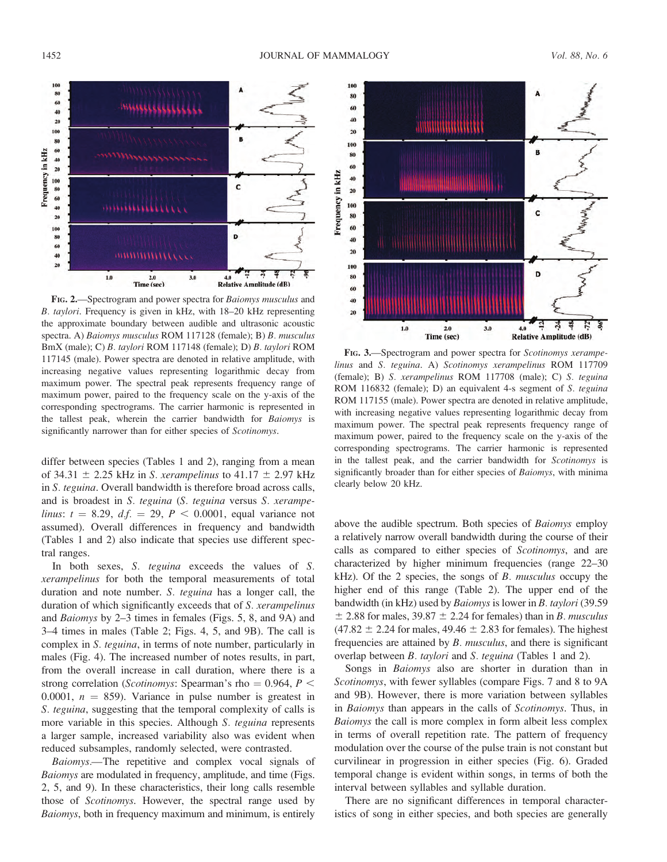

FIG. 2.—Spectrogram and power spectra for Baiomys musculus and B. taylori. Frequency is given in kHz, with 18–20 kHz representing the approximate boundary between audible and ultrasonic acoustic spectra. A) Baiomys musculus ROM 117128 (female); B) B. musculus BmX (male); C) B. taylori ROM 117148 (female); D) B. taylori ROM 117145 (male). Power spectra are denoted in relative amplitude, with increasing negative values representing logarithmic decay from maximum power. The spectral peak represents frequency range of maximum power, paired to the frequency scale on the y-axis of the corresponding spectrograms. The carrier harmonic is represented in the tallest peak, wherein the carrier bandwidth for Baiomys is significantly narrower than for either species of Scotinomys.

differ between species (Tables 1 and 2), ranging from a mean of 34.31  $\pm$  2.25 kHz in S. xerampelinus to 41.17  $\pm$  2.97 kHz in S. teguina. Overall bandwidth is therefore broad across calls, and is broadest in S. teguina (S. teguina versus S. xerampelinus:  $t = 8.29$ ,  $d.f. = 29$ ,  $P < 0.0001$ , equal variance not assumed). Overall differences in frequency and bandwidth (Tables 1 and 2) also indicate that species use different spectral ranges.

In both sexes, S. teguina exceeds the values of S. xerampelinus for both the temporal measurements of total duration and note number. S. teguina has a longer call, the duration of which significantly exceeds that of S. xerampelinus and Baiomys by 2–3 times in females (Figs. 5, 8, and 9A) and 3–4 times in males (Table 2; Figs. 4, 5, and 9B). The call is complex in S. teguina, in terms of note number, particularly in males (Fig. 4). The increased number of notes results, in part, from the overall increase in call duration, where there is a strong correlation (Scotinomys: Spearman's rho = 0.964,  $P$  < 0.0001,  $n = 859$ ). Variance in pulse number is greatest in S. teguina, suggesting that the temporal complexity of calls is more variable in this species. Although S. teguina represents a larger sample, increased variability also was evident when reduced subsamples, randomly selected, were contrasted.

Baiomys.—The repetitive and complex vocal signals of Baiomys are modulated in frequency, amplitude, and time (Figs. 2, 5, and 9). In these characteristics, their long calls resemble those of Scotinomys. However, the spectral range used by Baiomys, both in frequency maximum and minimum, is entirely



FIG. 3.—Spectrogram and power spectra for Scotinomys xerampelinus and S. teguina. A) Scotinomys xerampelinus ROM 117709 (female); B) S. xerampelinus ROM 117708 (male); C) S. teguina ROM 116832 (female); D) an equivalent 4-s segment of S. teguina ROM 117155 (male). Power spectra are denoted in relative amplitude, with increasing negative values representing logarithmic decay from maximum power. The spectral peak represents frequency range of maximum power, paired to the frequency scale on the y-axis of the corresponding spectrograms. The carrier harmonic is represented in the tallest peak, and the carrier bandwidth for Scotinomys is significantly broader than for either species of Baiomys, with minima clearly below 20 kHz.

above the audible spectrum. Both species of Baiomys employ a relatively narrow overall bandwidth during the course of their calls as compared to either species of Scotinomys, and are characterized by higher minimum frequencies (range 22–30  $kHz$ ). Of the 2 species, the songs of B. musculus occupy the higher end of this range (Table 2). The upper end of the bandwidth (in kHz) used by Baiomys is lower in B. taylori (39.59  $\pm$  2.88 for males, 39.87  $\pm$  2.24 for females) than in B. musculus  $(47.82 \pm 2.24$  for males,  $49.46 \pm 2.83$  for females). The highest frequencies are attained by B. musculus, and there is significant overlap between B. taylori and S. teguina (Tables 1 and 2).

Songs in Baiomys also are shorter in duration than in Scotinomys, with fewer syllables (compare Figs. 7 and 8 to 9A and 9B). However, there is more variation between syllables in Baiomys than appears in the calls of Scotinomys. Thus, in Baiomys the call is more complex in form albeit less complex in terms of overall repetition rate. The pattern of frequency modulation over the course of the pulse train is not constant but curvilinear in progression in either species (Fig. 6). Graded temporal change is evident within songs, in terms of both the interval between syllables and syllable duration.

There are no significant differences in temporal characteristics of song in either species, and both species are generally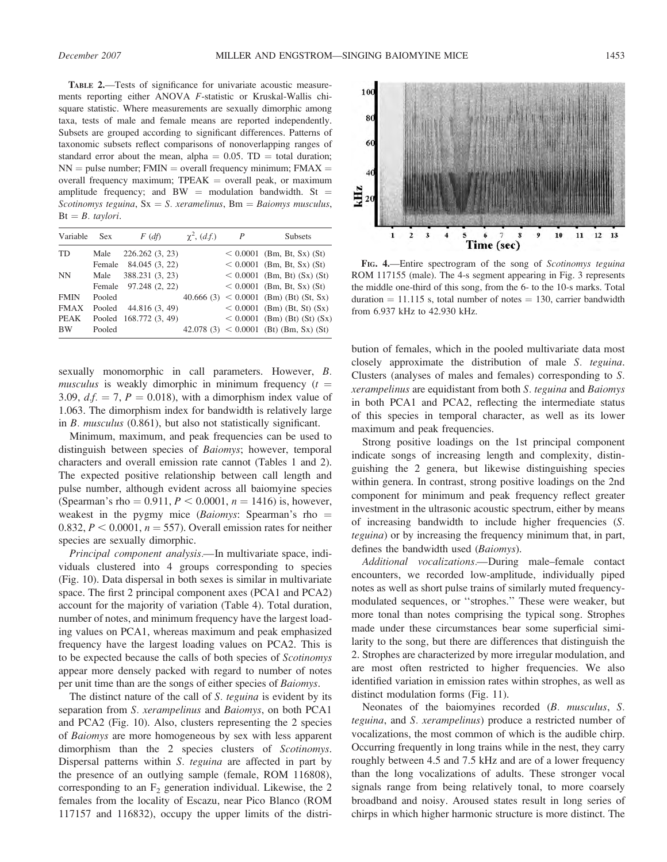TABLE 2.—Tests of significance for univariate acoustic measurements reporting either ANOVA F-statistic or Kruskal-Wallis chisquare statistic. Where measurements are sexually dimorphic among taxa, tests of male and female means are reported independently. Subsets are grouped according to significant differences. Patterns of taxonomic subsets reflect comparisons of nonoverlapping ranges of standard error about the mean, alpha  $= 0.05$ . TD  $=$  total duration;  $NN =$  pulse number; FMIN = overall frequency minimum; FMAX = overall frequency maximum;  $TPEAK =$  overall peak, or maximum amplitude frequency; and BW = modulation bandwidth. St = Scotinomys teguina,  $Sx = S$ . xeramelinus, Bm = Baiomys musculus,  $Bt = B.$  taylori.

| Variable    | Sex    | $F(d\hat{f})$          | $\chi^2$ , $(d.f.)$ | $\boldsymbol{P}$ | <b>Subsets</b>                                |
|-------------|--------|------------------------|---------------------|------------------|-----------------------------------------------|
| TD          | Male   | 226.262(3, 23)         |                     |                  | $< 0.0001$ (Bm, Bt, Sx) (St)                  |
|             |        | Female 84.045 (3, 22)  |                     |                  | $< 0.0001$ (Bm, Bt, Sx) (St)                  |
| NN.         | Male   | 388.231 (3, 23)        |                     |                  | $< 0.0001$ (Bm, Bt) (Sx) (St)                 |
|             |        | Female 97.248 (2, 22)  |                     |                  | $< 0.0001$ (Bm, Bt, Sx) (St)                  |
| <b>FMIN</b> | Pooled |                        |                     |                  | $40.666$ (3) $\leq 0.0001$ (Bm) (Bt) (St, Sx) |
| <b>FMAX</b> | Pooled | 44.816 (3, 49)         |                     |                  | $< 0.0001$ (Bm) (Bt, St) (Sx)                 |
| PEAK        |        | Pooled 168.772 (3, 49) |                     |                  | $< 0.0001$ (Bm) (Bt) (St) (Sx)                |
| <b>BW</b>   | Pooled |                        |                     |                  | $42.078(3) < 0.0001$ (Bt) (Bm, Sx) (St)       |

sexually monomorphic in call parameters. However, B. musculus is weakly dimorphic in minimum frequency  $(t =$ 3.09,  $df = 7$ ,  $P = 0.018$ ), with a dimorphism index value of 1.063. The dimorphism index for bandwidth is relatively large in B. musculus (0.861), but also not statistically significant.

Minimum, maximum, and peak frequencies can be used to distinguish between species of Baiomys; however, temporal characters and overall emission rate cannot (Tables 1 and 2). The expected positive relationship between call length and pulse number, although evident across all baiomyine species (Spearman's rho = 0.911,  $P < 0.0001$ ,  $n = 1416$ ) is, however, weakest in the pygmy mice (Baiomys: Spearman's rho  $=$ 0.832,  $P < 0.0001$ ,  $n = 557$ ). Overall emission rates for neither species are sexually dimorphic.

Principal component analysis.—In multivariate space, individuals clustered into 4 groups corresponding to species (Fig. 10). Data dispersal in both sexes is similar in multivariate space. The first 2 principal component axes (PCA1 and PCA2) account for the majority of variation (Table 4). Total duration, number of notes, and minimum frequency have the largest loading values on PCA1, whereas maximum and peak emphasized frequency have the largest loading values on PCA2. This is to be expected because the calls of both species of Scotinomys appear more densely packed with regard to number of notes per unit time than are the songs of either species of Baiomys.

The distinct nature of the call of S. teguina is evident by its separation from S. *xerampelinus* and *Baiomys*, on both PCA1 and PCA2 (Fig. 10). Also, clusters representing the 2 species of Baiomys are more homogeneous by sex with less apparent dimorphism than the 2 species clusters of Scotinomys. Dispersal patterns within S. teguina are affected in part by the presence of an outlying sample (female, ROM 116808), corresponding to an  $F_2$  generation individual. Likewise, the 2 females from the locality of Escazu, near Pico Blanco (ROM 117157 and 116832), occupy the upper limits of the distri-



FIG. 4.—Entire spectrogram of the song of Scotinomys teguina ROM 117155 (male). The 4-s segment appearing in Fig. 3 represents the middle one-third of this song, from the 6- to the 10-s marks. Total duration  $= 11.115$  s, total number of notes  $= 130$ , carrier bandwidth from 6.937 kHz to 42.930 kHz.

bution of females, which in the pooled multivariate data most closely approximate the distribution of male S. teguina. Clusters (analyses of males and females) corresponding to S. xerampelinus are equidistant from both S. teguina and Baiomys in both PCA1 and PCA2, reflecting the intermediate status of this species in temporal character, as well as its lower maximum and peak frequencies.

Strong positive loadings on the 1st principal component indicate songs of increasing length and complexity, distinguishing the 2 genera, but likewise distinguishing species within genera. In contrast, strong positive loadings on the 2nd component for minimum and peak frequency reflect greater investment in the ultrasonic acoustic spectrum, either by means of increasing bandwidth to include higher frequencies (S. teguina) or by increasing the frequency minimum that, in part, defines the bandwidth used (Baiomys).

Additional vocalizations.—During male–female contact encounters, we recorded low-amplitude, individually piped notes as well as short pulse trains of similarly muted frequencymodulated sequences, or ''strophes.'' These were weaker, but more tonal than notes comprising the typical song. Strophes made under these circumstances bear some superficial similarity to the song, but there are differences that distinguish the 2. Strophes are characterized by more irregular modulation, and are most often restricted to higher frequencies. We also identified variation in emission rates within strophes, as well as distinct modulation forms (Fig. 11).

Neonates of the baiomyines recorded (B. musculus, S. teguina, and S. xerampelinus) produce a restricted number of vocalizations, the most common of which is the audible chirp. Occurring frequently in long trains while in the nest, they carry roughly between 4.5 and 7.5 kHz and are of a lower frequency than the long vocalizations of adults. These stronger vocal signals range from being relatively tonal, to more coarsely broadband and noisy. Aroused states result in long series of chirps in which higher harmonic structure is more distinct. The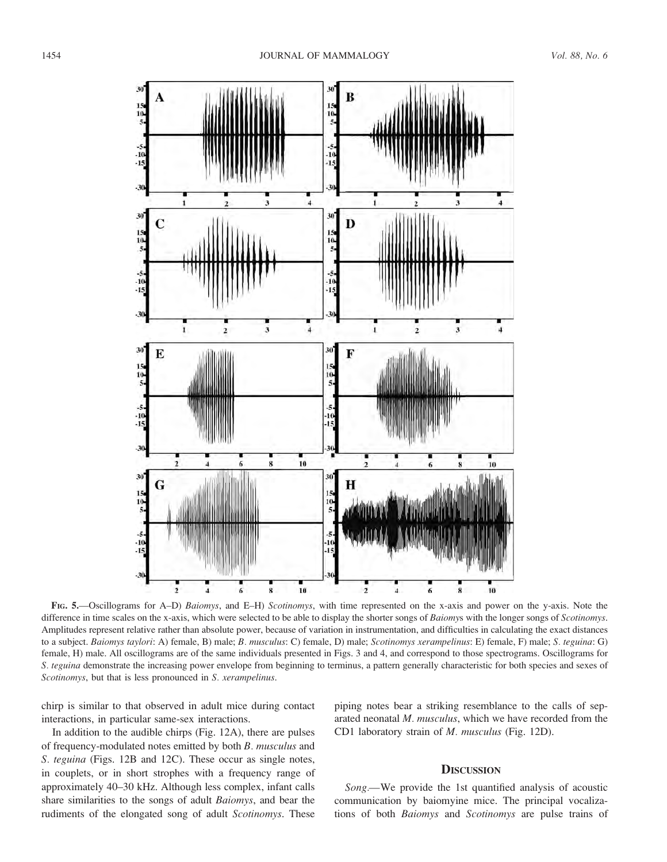

FIG. 5.—Oscillograms for A–D) Baiomys, and E–H) Scotinomys, with time represented on the x-axis and power on the y-axis. Note the difference in time scales on the x-axis, which were selected to be able to display the shorter songs of Baiomys with the longer songs of Scotinomys. Amplitudes represent relative rather than absolute power, because of variation in instrumentation, and difficulties in calculating the exact distances to a subject. Baiomys taylori: A) female, B) male; B. musculus: C) female, D) male; Scotinomys xerampelinus: E) female, F) male; S. teguina: G) female, H) male. All oscillograms are of the same individuals presented in Figs. 3 and 4, and correspond to those spectrograms. Oscillograms for S. teguina demonstrate the increasing power envelope from beginning to terminus, a pattern generally characteristic for both species and sexes of Scotinomys, but that is less pronounced in S. xerampelinus.

chirp is similar to that observed in adult mice during contact interactions, in particular same-sex interactions.

In addition to the audible chirps (Fig. 12A), there are pulses of frequency-modulated notes emitted by both B. musculus and S. teguina (Figs. 12B and 12C). These occur as single notes, in couplets, or in short strophes with a frequency range of approximately 40–30 kHz. Although less complex, infant calls share similarities to the songs of adult Baiomys, and bear the rudiments of the elongated song of adult Scotinomys. These

piping notes bear a striking resemblance to the calls of separated neonatal M. musculus, which we have recorded from the CD1 laboratory strain of M. musculus (Fig. 12D).

# **DISCUSSION**

Song.—We provide the 1st quantified analysis of acoustic communication by baiomyine mice. The principal vocalizations of both Baiomys and Scotinomys are pulse trains of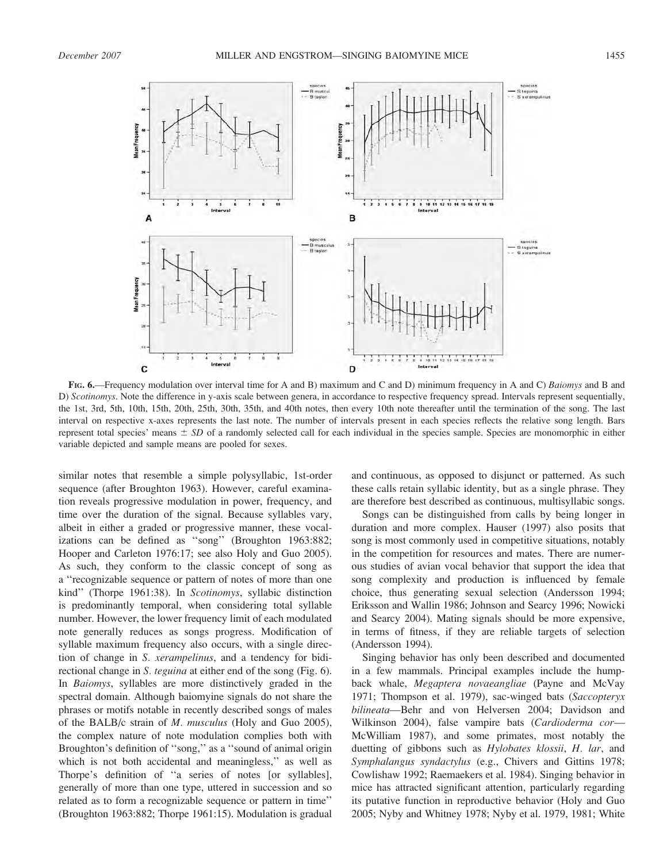

FIG. 6.—Frequency modulation over interval time for A and B) maximum and C and D) minimum frequency in A and C) *Baiomys* and B and D) Scotinomys. Note the difference in y-axis scale between genera, in accordance to respective frequency spread. Intervals represent sequentially, the 1st, 3rd, 5th, 10th, 15th, 20th, 25th, 30th, 35th, and 40th notes, then every 10th note thereafter until the termination of the song. The last interval on respective x-axes represents the last note. The number of intervals present in each species reflects the relative song length. Bars represent total species' means  $\pm SD$  of a randomly selected call for each individual in the species sample. Species are monomorphic in either variable depicted and sample means are pooled for sexes.

similar notes that resemble a simple polysyllabic, 1st-order sequence (after Broughton 1963). However, careful examination reveals progressive modulation in power, frequency, and time over the duration of the signal. Because syllables vary, albeit in either a graded or progressive manner, these vocalizations can be defined as ''song'' (Broughton 1963:882; Hooper and Carleton 1976:17; see also Holy and Guo 2005). As such, they conform to the classic concept of song as a ''recognizable sequence or pattern of notes of more than one kind'' (Thorpe 1961:38). In Scotinomys, syllabic distinction is predominantly temporal, when considering total syllable number. However, the lower frequency limit of each modulated note generally reduces as songs progress. Modification of syllable maximum frequency also occurs, with a single direction of change in S. xerampelinus, and a tendency for bidirectional change in S. teguina at either end of the song (Fig. 6). In Baiomys, syllables are more distinctively graded in the spectral domain. Although baiomyine signals do not share the phrases or motifs notable in recently described songs of males of the BALB/c strain of M. musculus (Holy and Guo 2005), the complex nature of note modulation complies both with Broughton's definition of "song," as a "sound of animal origin which is not both accidental and meaningless," as well as Thorpe's definition of ''a series of notes [or syllables], generally of more than one type, uttered in succession and so related as to form a recognizable sequence or pattern in time'' (Broughton 1963:882; Thorpe 1961:15). Modulation is gradual and continuous, as opposed to disjunct or patterned. As such these calls retain syllabic identity, but as a single phrase. They are therefore best described as continuous, multisyllabic songs.

Songs can be distinguished from calls by being longer in duration and more complex. Hauser (1997) also posits that song is most commonly used in competitive situations, notably in the competition for resources and mates. There are numerous studies of avian vocal behavior that support the idea that song complexity and production is influenced by female choice, thus generating sexual selection (Andersson 1994; Eriksson and Wallin 1986; Johnson and Searcy 1996; Nowicki and Searcy 2004). Mating signals should be more expensive, in terms of fitness, if they are reliable targets of selection (Andersson 1994).

Singing behavior has only been described and documented in a few mammals. Principal examples include the humpback whale, Megaptera novaeangliae (Payne and McVay 1971; Thompson et al. 1979), sac-winged bats (Saccopteryx bilineata—Behr and von Helversen 2004; Davidson and Wilkinson 2004), false vampire bats (Cardioderma cor— McWilliam 1987), and some primates, most notably the duetting of gibbons such as Hylobates klossii, H. lar, and Symphalangus syndactylus (e.g., Chivers and Gittins 1978; Cowlishaw 1992; Raemaekers et al. 1984). Singing behavior in mice has attracted significant attention, particularly regarding its putative function in reproductive behavior (Holy and Guo 2005; Nyby and Whitney 1978; Nyby et al. 1979, 1981; White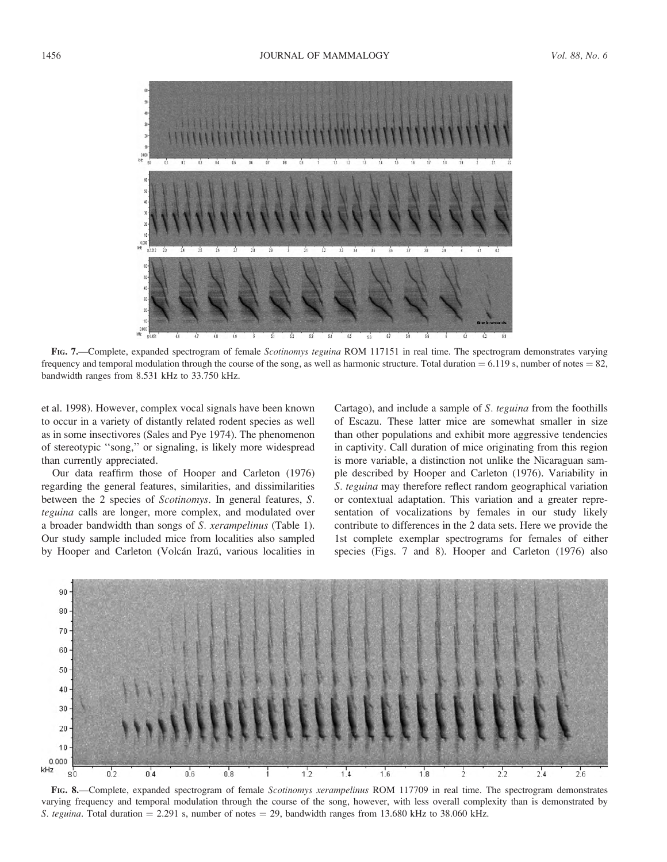

FIG. 7.—Complete, expanded spectrogram of female Scotinomys teguina ROM 117151 in real time. The spectrogram demonstrates varying frequency and temporal modulation through the course of the song, as well as harmonic structure. Total duration  $= 6.119$  s, number of notes  $= 82$ , bandwidth ranges from 8.531 kHz to 33.750 kHz.

et al. 1998). However, complex vocal signals have been known to occur in a variety of distantly related rodent species as well as in some insectivores (Sales and Pye 1974). The phenomenon of stereotypic ''song,'' or signaling, is likely more widespread than currently appreciated.

Our data reaffirm those of Hooper and Carleton (1976) regarding the general features, similarities, and dissimilarities between the 2 species of Scotinomys. In general features, S. teguina calls are longer, more complex, and modulated over a broader bandwidth than songs of S. xerampelinus (Table 1). Our study sample included mice from localities also sampled by Hooper and Carleton (Volcán Irazú, various localities in Cartago), and include a sample of S. teguina from the foothills of Escazu. These latter mice are somewhat smaller in size than other populations and exhibit more aggressive tendencies in captivity. Call duration of mice originating from this region is more variable, a distinction not unlike the Nicaraguan sample described by Hooper and Carleton (1976). Variability in S. teguina may therefore reflect random geographical variation or contextual adaptation. This variation and a greater representation of vocalizations by females in our study likely contribute to differences in the 2 data sets. Here we provide the 1st complete exemplar spectrograms for females of either species (Figs. 7 and 8). Hooper and Carleton (1976) also



FIG. 8.—Complete, expanded spectrogram of female *Scotinomys xerampelinus* ROM 117709 in real time. The spectrogram demonstrates varying frequency and temporal modulation through the course of the song, however, with less overall complexity than is demonstrated by S. teguina. Total duration  $= 2.291$  s, number of notes  $= 29$ , bandwidth ranges from 13.680 kHz to 38.060 kHz.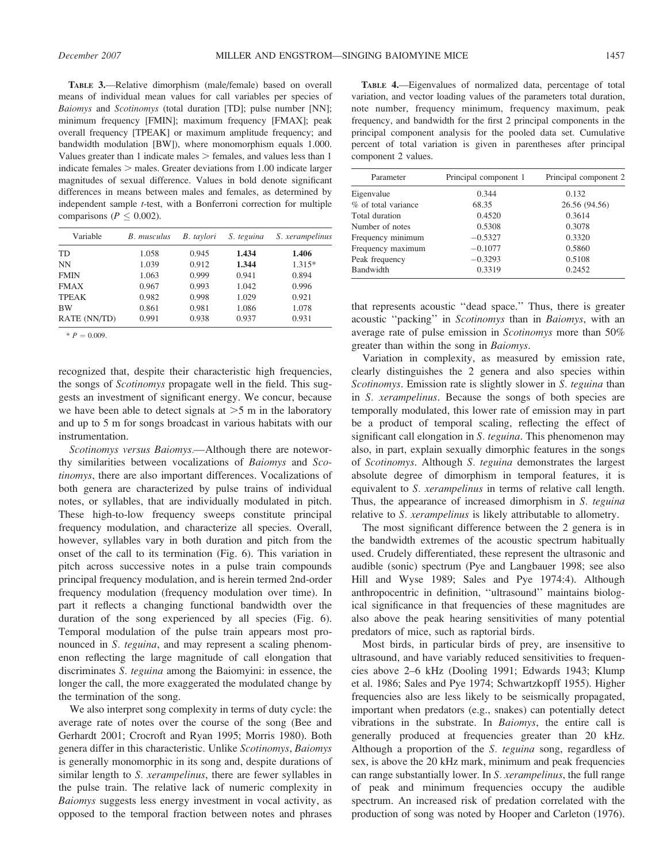TABLE 3.—Relative dimorphism (male/female) based on overall means of individual mean values for call variables per species of Baiomys and Scotinomys (total duration [TD]; pulse number [NN]; minimum frequency [FMIN]; maximum frequency [FMAX]; peak overall frequency [TPEAK] or maximum amplitude frequency; and bandwidth modulation [BW]), where monomorphism equals 1.000. Values greater than 1 indicate males  $>$  females, and values less than 1 indicate females  $>$  males. Greater deviations from 1.00 indicate larger magnitudes of sexual difference. Values in bold denote significant differences in means between males and females, as determined by independent sample t-test, with a Bonferroni correction for multiple comparisons ( $P \leq 0.002$ ).

| Variable     | B. musculus | B. taylori | S. teguina | S. xerampelinus |
|--------------|-------------|------------|------------|-----------------|
| TD           | 1.058       | 0.945      | 1.434      | 1.406           |
| <b>NN</b>    | 1.039       | 0.912      | 1.344      | $1.315*$        |
| <b>FMIN</b>  | 1.063       | 0.999      | 0.941      | 0.894           |
| <b>FMAX</b>  | 0.967       | 0.993      | 1.042      | 0.996           |
| <b>TPEAK</b> | 0.982       | 0.998      | 1.029      | 0.921           |
| <b>BW</b>    | 0.861       | 0.981      | 1.086      | 1.078           |
| RATE (NN/TD) | 0.991       | 0.938      | 0.937      | 0.931           |

 $* P = 0.009.$ 

recognized that, despite their characteristic high frequencies, the songs of Scotinomys propagate well in the field. This suggests an investment of significant energy. We concur, because we have been able to detect signals at  $>5$  m in the laboratory and up to 5 m for songs broadcast in various habitats with our instrumentation.

Scotinomys versus Baiomys.—Although there are noteworthy similarities between vocalizations of Baiomys and Scotinomys, there are also important differences. Vocalizations of both genera are characterized by pulse trains of individual notes, or syllables, that are individually modulated in pitch. These high-to-low frequency sweeps constitute principal frequency modulation, and characterize all species. Overall, however, syllables vary in both duration and pitch from the onset of the call to its termination (Fig. 6). This variation in pitch across successive notes in a pulse train compounds principal frequency modulation, and is herein termed 2nd-order frequency modulation (frequency modulation over time). In part it reflects a changing functional bandwidth over the duration of the song experienced by all species (Fig. 6). Temporal modulation of the pulse train appears most pronounced in S. teguina, and may represent a scaling phenomenon reflecting the large magnitude of call elongation that discriminates S. teguina among the Baiomyini: in essence, the longer the call, the more exaggerated the modulated change by the termination of the song.

We also interpret song complexity in terms of duty cycle: the average rate of notes over the course of the song (Bee and Gerhardt 2001; Crocroft and Ryan 1995; Morris 1980). Both genera differ in this characteristic. Unlike Scotinomys, Baiomys is generally monomorphic in its song and, despite durations of similar length to S. *xerampelinus*, there are fewer syllables in the pulse train. The relative lack of numeric complexity in Baiomys suggests less energy investment in vocal activity, as opposed to the temporal fraction between notes and phrases

| <b>TABLE 4.</b> —Eigenvalues of normalized data, percentage of total   |  |  |  |  |
|------------------------------------------------------------------------|--|--|--|--|
| variation, and vector loading values of the parameters total duration, |  |  |  |  |
| note number, frequency minimum, frequency maximum, peak                |  |  |  |  |
| frequency, and bandwidth for the first 2 principal components in the   |  |  |  |  |
| principal component analysis for the pooled data set. Cumulative       |  |  |  |  |
| percent of total variation is given in parentheses after principal     |  |  |  |  |
| component 2 values.                                                    |  |  |  |  |

| Parameter           | Principal component 1 | Principal component 2 |
|---------------------|-----------------------|-----------------------|
| Eigenvalue          | 0.344                 | 0.132                 |
| % of total variance | 68.35                 | 26.56 (94.56)         |
| Total duration      | 0.4520                | 0.3614                |
| Number of notes     | 0.5308                | 0.3078                |
| Frequency minimum   | $-0.5327$             | 0.3320                |
| Frequency maximum   | $-0.1077$             | 0.5860                |
| Peak frequency      | $-0.3293$             | 0.5108                |
| <b>Bandwidth</b>    | 0.3319                | 0.2452                |

that represents acoustic ''dead space.'' Thus, there is greater acoustic ''packing'' in Scotinomys than in Baiomys, with an average rate of pulse emission in Scotinomys more than 50% greater than within the song in Baiomys.

Variation in complexity, as measured by emission rate, clearly distinguishes the 2 genera and also species within Scotinomys. Emission rate is slightly slower in S. teguina than in S. xerampelinus. Because the songs of both species are temporally modulated, this lower rate of emission may in part be a product of temporal scaling, reflecting the effect of significant call elongation in S. teguina. This phenomenon may also, in part, explain sexually dimorphic features in the songs of Scotinomys. Although S. teguina demonstrates the largest absolute degree of dimorphism in temporal features, it is equivalent to S. xerampelinus in terms of relative call length. Thus, the appearance of increased dimorphism in S. teguina relative to S. xerampelinus is likely attributable to allometry.

The most significant difference between the 2 genera is in the bandwidth extremes of the acoustic spectrum habitually used. Crudely differentiated, these represent the ultrasonic and audible (sonic) spectrum (Pye and Langbauer 1998; see also Hill and Wyse 1989; Sales and Pye 1974:4). Although anthropocentric in definition, ''ultrasound'' maintains biological significance in that frequencies of these magnitudes are also above the peak hearing sensitivities of many potential predators of mice, such as raptorial birds.

Most birds, in particular birds of prey, are insensitive to ultrasound, and have variably reduced sensitivities to frequencies above 2–6 kHz (Dooling 1991; Edwards 1943; Klump et al. 1986; Sales and Pye 1974; Schwartzkopff 1955). Higher frequencies also are less likely to be seismically propagated, important when predators (e.g., snakes) can potentially detect vibrations in the substrate. In Baiomys, the entire call is generally produced at frequencies greater than 20 kHz. Although a proportion of the S. teguina song, regardless of sex, is above the 20 kHz mark, minimum and peak frequencies can range substantially lower. In S. xerampelinus, the full range of peak and minimum frequencies occupy the audible spectrum. An increased risk of predation correlated with the production of song was noted by Hooper and Carleton (1976).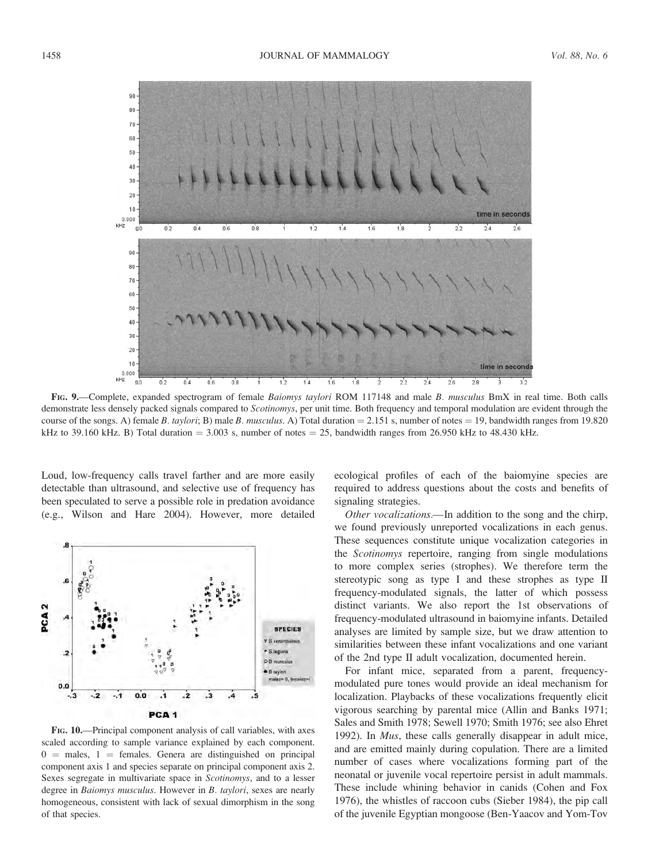

FIG. 9.—Complete, expanded spectrogram of female Baiomys taylori ROM 117148 and male B. musculus BmX in real time. Both calls demonstrate less densely packed signals compared to Scotinomys, per unit time. Both frequency and temporal modulation are evident through the course of the songs. A) female B. taylori; B) male B. musculus. A) Total duration  $= 2.151$  s, number of notes  $= 19$ , bandwidth ranges from 19.820 kHz to 39.160 kHz. B) Total duration  $= 3.003$  s, number of notes  $= 25$ , bandwidth ranges from 26.950 kHz to 48.430 kHz.

Loud, low-frequency calls travel farther and are more easily detectable than ultrasound, and selective use of frequency has been speculated to serve a possible role in predation avoidance (e.g., Wilson and Hare 2004). However, more detailed



FIG. 10.—Principal component analysis of call variables, with axes scaled according to sample variance explained by each component.  $0 =$  males, 1 = females. Genera are distinguished on principal component axis 1 and species separate on principal component axis 2. Sexes segregate in multivariate space in Scotinomys, and to a lesser degree in *Baiomys musculus*. However in *B. taylori*, sexes are nearly homogeneous, consistent with lack of sexual dimorphism in the song of that species.

ecological profiles of each of the baiomyine species are required to address questions about the costs and benefits of signaling strategies.

Other vocalizations.—In addition to the song and the chirp, we found previously unreported vocalizations in each genus. These sequences constitute unique vocalization categories in the Scotinomys repertoire, ranging from single modulations to more complex series (strophes). We therefore term the stereotypic song as type I and these strophes as type II frequency-modulated signals, the latter of which possess distinct variants. We also report the 1st observations of frequency-modulated ultrasound in baiomyine infants. Detailed analyses are limited by sample size, but we draw attention to similarities between these infant vocalizations and one variant of the 2nd type II adult vocalization, documented herein.

For infant mice, separated from a parent, frequencymodulated pure tones would provide an ideal mechanism for localization. Playbacks of these vocalizations frequently elicit vigorous searching by parental mice (Allin and Banks 1971; Sales and Smith 1978; Sewell 1970; Smith 1976; see also Ehret 1992). In *Mus*, these calls generally disappear in adult mice, and are emitted mainly during copulation. There are a limited number of cases where vocalizations forming part of the neonatal or juvenile vocal repertoire persist in adult mammals. These include whining behavior in canids (Cohen and Fox 1976), the whistles of raccoon cubs (Sieber 1984), the pip call of the juvenile Egyptian mongoose (Ben-Yaacov and Yom-Tov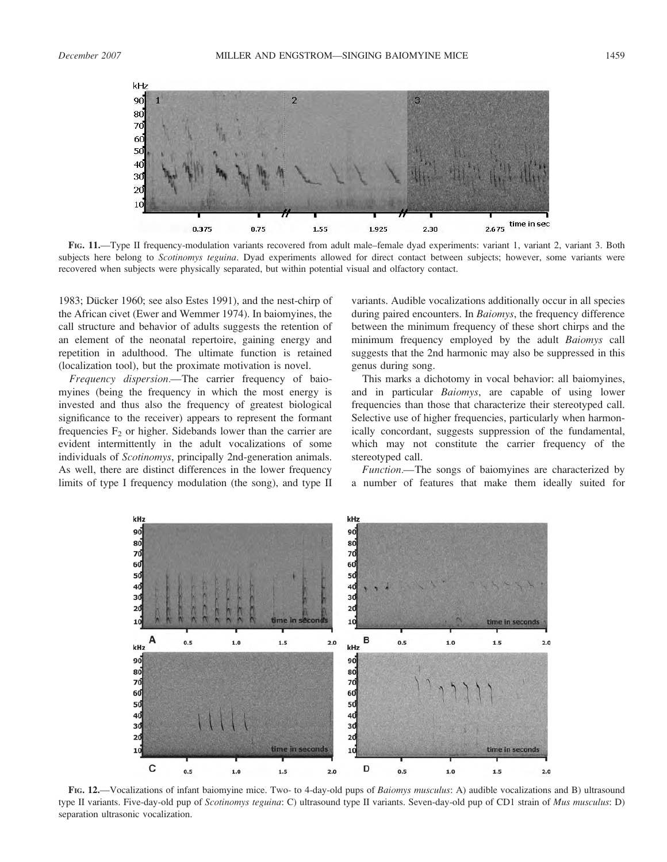

FIG. 11.—Type II frequency-modulation variants recovered from adult male–female dyad experiments: variant 1, variant 2, variant 3. Both subjects here belong to Scotinomys teguina. Dyad experiments allowed for direct contact between subjects; however, some variants were recovered when subjects were physically separated, but within potential visual and olfactory contact.

1983; Dücker 1960; see also Estes 1991), and the nest-chirp of the African civet (Ewer and Wemmer 1974). In baiomyines, the call structure and behavior of adults suggests the retention of an element of the neonatal repertoire, gaining energy and repetition in adulthood. The ultimate function is retained (localization tool), but the proximate motivation is novel.

Frequency dispersion.—The carrier frequency of baiomyines (being the frequency in which the most energy is invested and thus also the frequency of greatest biological significance to the receiver) appears to represent the formant frequencies  $F_2$  or higher. Sidebands lower than the carrier are evident intermittently in the adult vocalizations of some individuals of Scotinomys, principally 2nd-generation animals. As well, there are distinct differences in the lower frequency limits of type I frequency modulation (the song), and type II variants. Audible vocalizations additionally occur in all species during paired encounters. In *Baiomys*, the frequency difference between the minimum frequency of these short chirps and the minimum frequency employed by the adult Baiomys call suggests that the 2nd harmonic may also be suppressed in this genus during song.

This marks a dichotomy in vocal behavior: all baiomyines, and in particular Baiomys, are capable of using lower frequencies than those that characterize their stereotyped call. Selective use of higher frequencies, particularly when harmonically concordant, suggests suppression of the fundamental, which may not constitute the carrier frequency of the stereotyped call.

Function.—The songs of baiomyines are characterized by a number of features that make them ideally suited for



FIG. 12.—Vocalizations of infant baiomyine mice. Two- to 4-day-old pups of Baiomys musculus: A) audible vocalizations and B) ultrasound type II variants. Five-day-old pup of Scotinomys teguina: C) ultrasound type II variants. Seven-day-old pup of CD1 strain of Mus musculus: D) separation ultrasonic vocalization.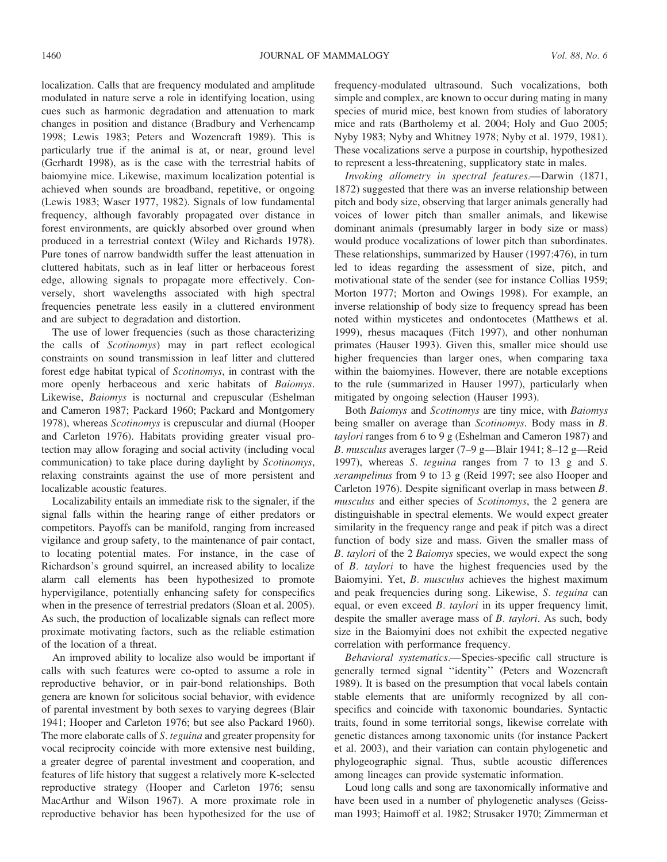localization. Calls that are frequency modulated and amplitude modulated in nature serve a role in identifying location, using cues such as harmonic degradation and attenuation to mark changes in position and distance (Bradbury and Verhencamp 1998; Lewis 1983; Peters and Wozencraft 1989). This is particularly true if the animal is at, or near, ground level (Gerhardt 1998), as is the case with the terrestrial habits of baiomyine mice. Likewise, maximum localization potential is achieved when sounds are broadband, repetitive, or ongoing (Lewis 1983; Waser 1977, 1982). Signals of low fundamental frequency, although favorably propagated over distance in forest environments, are quickly absorbed over ground when produced in a terrestrial context (Wiley and Richards 1978). Pure tones of narrow bandwidth suffer the least attenuation in cluttered habitats, such as in leaf litter or herbaceous forest edge, allowing signals to propagate more effectively. Conversely, short wavelengths associated with high spectral frequencies penetrate less easily in a cluttered environment and are subject to degradation and distortion.

The use of lower frequencies (such as those characterizing the calls of Scotinomys) may in part reflect ecological constraints on sound transmission in leaf litter and cluttered forest edge habitat typical of Scotinomys, in contrast with the more openly herbaceous and xeric habitats of Baiomys. Likewise, Baiomys is nocturnal and crepuscular (Eshelman and Cameron 1987; Packard 1960; Packard and Montgomery 1978), whereas Scotinomys is crepuscular and diurnal (Hooper and Carleton 1976). Habitats providing greater visual protection may allow foraging and social activity (including vocal communication) to take place during daylight by Scotinomys, relaxing constraints against the use of more persistent and localizable acoustic features.

Localizability entails an immediate risk to the signaler, if the signal falls within the hearing range of either predators or competitors. Payoffs can be manifold, ranging from increased vigilance and group safety, to the maintenance of pair contact, to locating potential mates. For instance, in the case of Richardson's ground squirrel, an increased ability to localize alarm call elements has been hypothesized to promote hypervigilance, potentially enhancing safety for conspecifics when in the presence of terrestrial predators (Sloan et al. 2005). As such, the production of localizable signals can reflect more proximate motivating factors, such as the reliable estimation of the location of a threat.

An improved ability to localize also would be important if calls with such features were co-opted to assume a role in reproductive behavior, or in pair-bond relationships. Both genera are known for solicitous social behavior, with evidence of parental investment by both sexes to varying degrees (Blair 1941; Hooper and Carleton 1976; but see also Packard 1960). The more elaborate calls of S. teguina and greater propensity for vocal reciprocity coincide with more extensive nest building, a greater degree of parental investment and cooperation, and features of life history that suggest a relatively more K-selected reproductive strategy (Hooper and Carleton 1976; sensu MacArthur and Wilson 1967). A more proximate role in reproductive behavior has been hypothesized for the use of frequency-modulated ultrasound. Such vocalizations, both simple and complex, are known to occur during mating in many species of murid mice, best known from studies of laboratory mice and rats (Bartholemy et al. 2004; Holy and Guo 2005; Nyby 1983; Nyby and Whitney 1978; Nyby et al. 1979, 1981). These vocalizations serve a purpose in courtship, hypothesized to represent a less-threatening, supplicatory state in males.

Invoking allometry in spectral features.—Darwin (1871, 1872) suggested that there was an inverse relationship between pitch and body size, observing that larger animals generally had voices of lower pitch than smaller animals, and likewise dominant animals (presumably larger in body size or mass) would produce vocalizations of lower pitch than subordinates. These relationships, summarized by Hauser (1997:476), in turn led to ideas regarding the assessment of size, pitch, and motivational state of the sender (see for instance Collias 1959; Morton 1977; Morton and Owings 1998). For example, an inverse relationship of body size to frequency spread has been noted within mysticetes and ondontocetes (Matthews et al. 1999), rhesus macaques (Fitch 1997), and other nonhuman primates (Hauser 1993). Given this, smaller mice should use higher frequencies than larger ones, when comparing taxa within the baiomyines. However, there are notable exceptions to the rule (summarized in Hauser 1997), particularly when mitigated by ongoing selection (Hauser 1993).

Both Baiomys and Scotinomys are tiny mice, with Baiomys being smaller on average than Scotinomys. Body mass in B. taylori ranges from 6 to 9 g (Eshelman and Cameron 1987) and B. musculus averages larger (7–9 g—Blair 1941; 8–12 g—Reid 1997), whereas S. teguina ranges from 7 to 13 g and S. xerampelinus from 9 to 13 g (Reid 1997; see also Hooper and Carleton 1976). Despite significant overlap in mass between B. musculus and either species of Scotinomys, the 2 genera are distinguishable in spectral elements. We would expect greater similarity in the frequency range and peak if pitch was a direct function of body size and mass. Given the smaller mass of B. taylori of the 2 Baiomys species, we would expect the song of B. taylori to have the highest frequencies used by the Baiomyini. Yet, B. musculus achieves the highest maximum and peak frequencies during song. Likewise, S. teguina can equal, or even exceed *B. taylori* in its upper frequency limit, despite the smaller average mass of B. taylori. As such, body size in the Baiomyini does not exhibit the expected negative correlation with performance frequency.

Behavioral systematics.—Species-specific call structure is generally termed signal ''identity'' (Peters and Wozencraft 1989). It is based on the presumption that vocal labels contain stable elements that are uniformly recognized by all conspecifics and coincide with taxonomic boundaries. Syntactic traits, found in some territorial songs, likewise correlate with genetic distances among taxonomic units (for instance Packert et al. 2003), and their variation can contain phylogenetic and phylogeographic signal. Thus, subtle acoustic differences among lineages can provide systematic information.

Loud long calls and song are taxonomically informative and have been used in a number of phylogenetic analyses (Geissman 1993; Haimoff et al. 1982; Strusaker 1970; Zimmerman et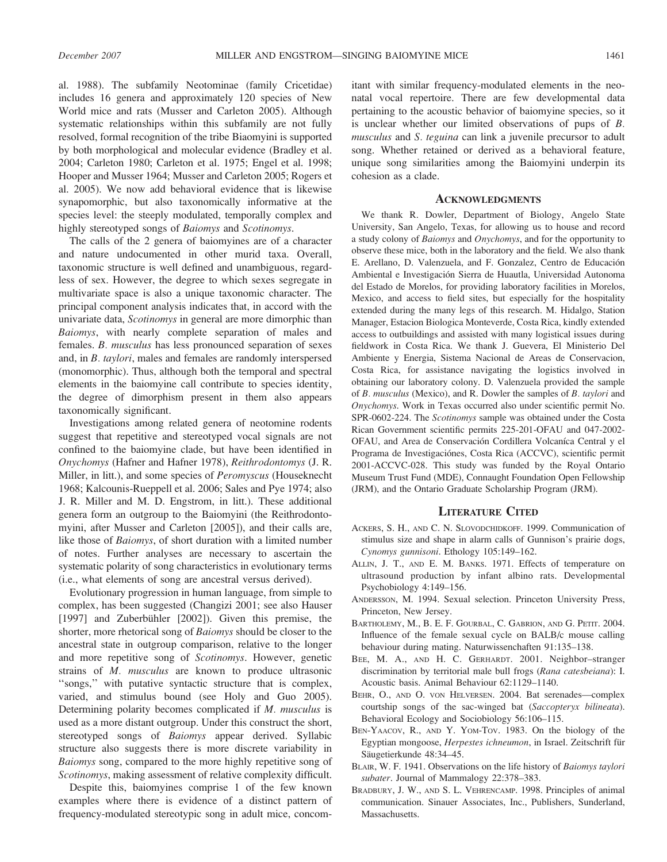al. 1988). The subfamily Neotominae (family Cricetidae) includes 16 genera and approximately 120 species of New World mice and rats (Musser and Carleton 2005). Although systematic relationships within this subfamily are not fully resolved, formal recognition of the tribe Biaomyini is supported by both morphological and molecular evidence (Bradley et al. 2004; Carleton 1980; Carleton et al. 1975; Engel et al. 1998; Hooper and Musser 1964; Musser and Carleton 2005; Rogers et al. 2005). We now add behavioral evidence that is likewise synapomorphic, but also taxonomically informative at the species level: the steeply modulated, temporally complex and highly stereotyped songs of Baiomys and Scotinomys.

The calls of the 2 genera of baiomyines are of a character and nature undocumented in other murid taxa. Overall, taxonomic structure is well defined and unambiguous, regardless of sex. However, the degree to which sexes segregate in multivariate space is also a unique taxonomic character. The principal component analysis indicates that, in accord with the univariate data, Scotinomys in general are more dimorphic than Baiomys, with nearly complete separation of males and females. B. musculus has less pronounced separation of sexes and, in B. taylori, males and females are randomly interspersed (monomorphic). Thus, although both the temporal and spectral elements in the baiomyine call contribute to species identity, the degree of dimorphism present in them also appears taxonomically significant.

Investigations among related genera of neotomine rodents suggest that repetitive and stereotyped vocal signals are not confined to the baiomyine clade, but have been identified in Onychomys (Hafner and Hafner 1978), Reithrodontomys (J. R. Miller, in litt.), and some species of Peromyscus (Houseknecht 1968; Kalcounis-Rueppell et al. 2006; Sales and Pye 1974; also J. R. Miller and M. D. Engstrom, in litt.). These additional genera form an outgroup to the Baiomyini (the Reithrodontomyini, after Musser and Carleton [2005]), and their calls are, like those of Baiomys, of short duration with a limited number of notes. Further analyses are necessary to ascertain the systematic polarity of song characteristics in evolutionary terms (i.e., what elements of song are ancestral versus derived).

Evolutionary progression in human language, from simple to complex, has been suggested (Changizi 2001; see also Hauser [1997] and Zuberbühler [2002]). Given this premise, the shorter, more rhetorical song of Baiomys should be closer to the ancestral state in outgroup comparison, relative to the longer and more repetitive song of Scotinomys. However, genetic strains of M. musculus are known to produce ultrasonic ''songs,'' with putative syntactic structure that is complex, varied, and stimulus bound (see Holy and Guo 2005). Determining polarity becomes complicated if M. musculus is used as a more distant outgroup. Under this construct the short, stereotyped songs of Baiomys appear derived. Syllabic structure also suggests there is more discrete variability in Baiomys song, compared to the more highly repetitive song of Scotinomys, making assessment of relative complexity difficult.

Despite this, baiomyines comprise 1 of the few known examples where there is evidence of a distinct pattern of frequency-modulated stereotypic song in adult mice, concomitant with similar frequency-modulated elements in the neonatal vocal repertoire. There are few developmental data pertaining to the acoustic behavior of baiomyine species, so it is unclear whether our limited observations of pups of B. musculus and S. teguina can link a juvenile precursor to adult song. Whether retained or derived as a behavioral feature, unique song similarities among the Baiomyini underpin its cohesion as a clade.

#### ACKNOWLEDGMENTS

We thank R. Dowler, Department of Biology, Angelo State University, San Angelo, Texas, for allowing us to house and record a study colony of Baiomys and Onychomys, and for the opportunity to observe these mice, both in the laboratory and the field. We also thank E. Arellano, D. Valenzuela, and F. Gonzalez, Centro de Educación Ambiental e Investigación Sierra de Huautla, Universidad Autonoma del Estado de Morelos, for providing laboratory facilities in Morelos, Mexico, and access to field sites, but especially for the hospitality extended during the many legs of this research. M. Hidalgo, Station Manager, Estacion Biologica Monteverde, Costa Rica, kindly extended access to outbuildings and assisted with many logistical issues during fieldwork in Costa Rica. We thank J. Guevera, El Ministerio Del Ambiente y Energia, Sistema Nacional de Areas de Conservacion, Costa Rica, for assistance navigating the logistics involved in obtaining our laboratory colony. D. Valenzuela provided the sample of B. musculus (Mexico), and R. Dowler the samples of B. taylori and Onychomys. Work in Texas occurred also under scientific permit No. SPR-0602-224. The Scotinomys sample was obtained under the Costa Rican Government scientific permits 225-201-OFAU and 047-2002- OFAU, and Area de Conservación Cordillera Volcaníca Central y el Programa de Investigaciónes, Costa Rica (ACCVC), scientific permit 2001-ACCVC-028. This study was funded by the Royal Ontario Museum Trust Fund (MDE), Connaught Foundation Open Fellowship (JRM), and the Ontario Graduate Scholarship Program (JRM).

# LITERATURE CITED

- ACKERS, S. H., AND C. N. SLOVODCHIDKOFF. 1999. Communication of stimulus size and shape in alarm calls of Gunnison's prairie dogs, Cynomys gunnisoni. Ethology 105:149–162.
- ALLIN, J. T., AND E. M. BANKS. 1971. Effects of temperature on ultrasound production by infant albino rats. Developmental Psychobiology 4:149–156.
- ANDERSSON, M. 1994. Sexual selection. Princeton University Press, Princeton, New Jersey.
- BARTHOLEMY, M., B. E. F. GOURBAL, C. GABRION, AND G. PETIT. 2004. Influence of the female sexual cycle on BALB/c mouse calling behaviour during mating. Naturwissenchaften 91:135–138.
- BEE, M. A., AND H. C. GERHARDT. 2001. Neighbor–stranger discrimination by territorial male bull frogs (Rana catesbeiana): I. Acoustic basis. Animal Behaviour 62:1129–1140.
- BEHR, O., AND O. VON HELVERSEN. 2004. Bat serenades—complex courtship songs of the sac-winged bat (Saccopteryx bilineata). Behavioral Ecology and Sociobiology 56:106–115.
- BEN-YAACOV, R., AND Y. YOM-TOV. 1983. On the biology of the Egyptian mongoose, Herpestes ichneumon, in Israel. Zeitschrift für Säugetierkunde 48:34-45.
- BLAIR, W. F. 1941. Observations on the life history of Baiomys taylori subater. Journal of Mammalogy 22:378–383.
- BRADBURY, J. W., AND S. L. VEHRENCAMP. 1998. Principles of animal communication. Sinauer Associates, Inc., Publishers, Sunderland, Massachusetts.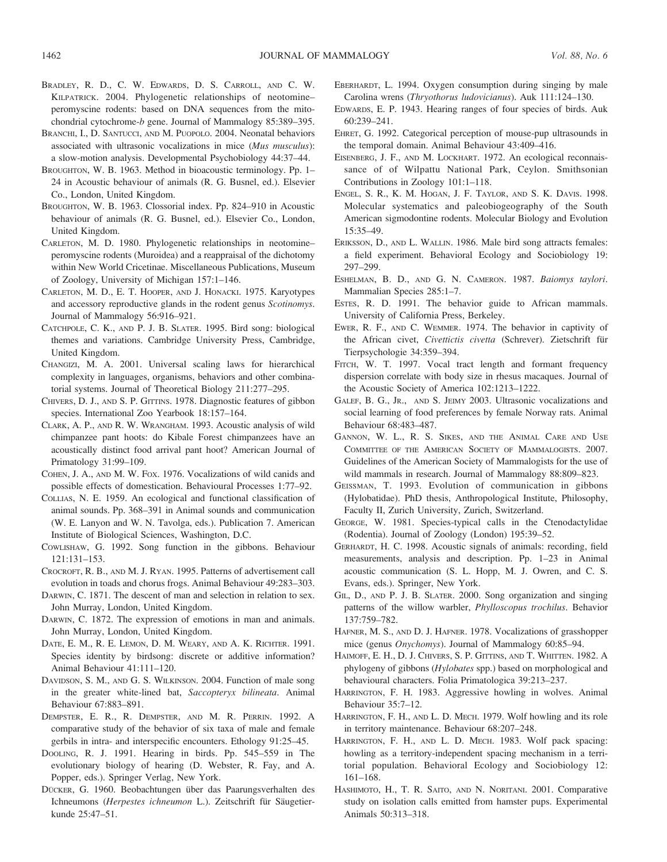- BRADLEY, R. D., C. W. EDWARDS, D. S. CARROLL, AND C. W. KILPATRICK. 2004. Phylogenetic relationships of neotomine– peromyscine rodents: based on DNA sequences from the mitochondrial cytochrome-b gene. Journal of Mammalogy 85:389–395.
- BRANCHI, I., D. SANTUCCI, AND M. PUOPOLO. 2004. Neonatal behaviors associated with ultrasonic vocalizations in mice (Mus musculus): a slow-motion analysis. Developmental Psychobiology 44:37–44.
- BROUGHTON, W. B. 1963. Method in bioacoustic terminology. Pp. 1– 24 in Acoustic behaviour of animals (R. G. Busnel, ed.). Elsevier Co., London, United Kingdom.
- BROUGHTON, W. B. 1963. Clossorial index. Pp. 824–910 in Acoustic behaviour of animals (R. G. Busnel, ed.). Elsevier Co., London, United Kingdom.
- CARLETON, M. D. 1980. Phylogenetic relationships in neotomine– peromyscine rodents (Muroidea) and a reappraisal of the dichotomy within New World Cricetinae. Miscellaneous Publications, Museum of Zoology, University of Michigan 157:1–146.
- CARLETON, M. D., E. T. HOOPER, AND J. HONACKI. 1975. Karyotypes and accessory reproductive glands in the rodent genus Scotinomys. Journal of Mammalogy 56:916–921.
- CATCHPOLE, C. K., AND P. J. B. SLATER. 1995. Bird song: biological themes and variations. Cambridge University Press, Cambridge, United Kingdom.
- CHANGIZI, M. A. 2001. Universal scaling laws for hierarchical complexity in languages, organisms, behaviors and other combinatorial systems. Journal of Theoretical Biology 211:277–295.
- CHIVERS, D. J., AND S. P. GITTINS. 1978. Diagnostic features of gibbon species. International Zoo Yearbook 18:157–164.
- CLARK, A. P., AND R. W. WRANGHAM. 1993. Acoustic analysis of wild chimpanzee pant hoots: do Kibale Forest chimpanzees have an acoustically distinct food arrival pant hoot? American Journal of Primatology 31:99–109.
- COHEN, J. A., AND M. W. FOX. 1976. Vocalizations of wild canids and possible effects of domestication. Behavioural Processes 1:77–92.
- COLLIAS, N. E. 1959. An ecological and functional classification of animal sounds. Pp. 368–391 in Animal sounds and communication (W. E. Lanyon and W. N. Tavolga, eds.). Publication 7. American Institute of Biological Sciences, Washington, D.C.
- COWLISHAW, G. 1992. Song function in the gibbons. Behaviour 121:131–153.
- CROCROFT, R. B., AND M. J. RYAN. 1995. Patterns of advertisement call evolution in toads and chorus frogs. Animal Behaviour 49:283–303.
- DARWIN, C. 1871. The descent of man and selection in relation to sex. John Murray, London, United Kingdom.
- DARWIN, C. 1872. The expression of emotions in man and animals. John Murray, London, United Kingdom.
- DATE, E. M., R. E. LEMON, D. M. WEARY, AND A. K. RICHTER. 1991. Species identity by birdsong: discrete or additive information? Animal Behaviour 41:111–120.
- DAVIDSON, S. M., AND G. S. WILKINSON. 2004. Function of male song in the greater white-lined bat, Saccopteryx bilineata. Animal Behaviour 67:883–891.
- DEMPSTER, E. R., R. DEMPSTER, AND M. R. PERRIN. 1992. A comparative study of the behavior of six taxa of male and female gerbils in intra- and interspecific encounters. Ethology 91:25–45.
- DOOLING, R. J. 1991. Hearing in birds. Pp. 545–559 in The evolutionary biology of hearing (D. Webster, R. Fay, and A. Popper, eds.). Springer Verlag, New York.
- DÜCKER, G. 1960. Beobachtungen über das Paarungsverhalten des Ichneumons (Herpestes ichneumon L.). Zeitschrift für Säugetierkunde 25:47–51.
- EBERHARDT, L. 1994. Oxygen consumption during singing by male Carolina wrens (Thryothorus ludovicianus). Auk 111:124–130.
- EDWARDS, E. P. 1943. Hearing ranges of four species of birds. Auk 60:239–241.
- EHRET, G. 1992. Categorical perception of mouse-pup ultrasounds in the temporal domain. Animal Behaviour 43:409–416.
- EISENBERG, J. F., AND M. LOCKHART. 1972. An ecological reconnaissance of of Wilpattu National Park, Ceylon. Smithsonian Contributions in Zoology 101:1–118.
- ENGEL, S. R., K. M. HOGAN, J. F. TAYLOR, AND S. K. DAVIS. 1998. Molecular systematics and paleobiogeography of the South American sigmodontine rodents. Molecular Biology and Evolution 15:35–49.
- ERIKSSON, D., AND L. WALLIN. 1986. Male bird song attracts females: a field experiment. Behavioral Ecology and Sociobiology 19: 297–299.
- ESHELMAN, B. D., AND G. N. CAMERON. 1987. Baiomys taylori. Mammalian Species 285:1–7.
- ESTES, R. D. 1991. The behavior guide to African mammals. University of California Press, Berkeley.
- EWER, R. F., AND C. WEMMER. 1974. The behavior in captivity of the African civet, Civettictis civetta (Schrever). Zietschrift für Tierpsychologie 34:359–394.
- FITCH, W. T. 1997. Vocal tract length and formant frequency dispersion correlate with body size in rhesus macaques. Journal of the Acoustic Society of America 102:1213–1222.
- GALEF, B. G., JR., AND S. JEIMY 2003. Ultrasonic vocalizations and social learning of food preferences by female Norway rats. Animal Behaviour 68:483–487.
- GANNON, W. L., R. S. SIKES, AND THE ANIMAL CARE AND USE COMMITTEE OF THE AMERICAN SOCIETY OF MAMMALOGISTS. 2007. Guidelines of the American Society of Mammalogists for the use of wild mammals in research. Journal of Mammalogy 88:809–823.
- GEISSMAN, T. 1993. Evolution of communication in gibbons (Hylobatidae). PhD thesis, Anthropological Institute, Philosophy, Faculty II, Zurich University, Zurich, Switzerland.
- GEORGE, W. 1981. Species-typical calls in the Ctenodactylidae (Rodentia). Journal of Zoology (London) 195:39–52.
- GERHARDT, H. C. 1998. Acoustic signals of animals: recording, field measurements, analysis and description. Pp. 1–23 in Animal acoustic communication (S. L. Hopp, M. J. Owren, and C. S. Evans, eds.). Springer, New York.
- GIL, D., AND P. J. B. SLATER. 2000. Song organization and singing patterns of the willow warbler, Phylloscopus trochilus. Behavior 137:759–782.
- HAFNER, M. S., AND D. J. HAFNER. 1978. Vocalizations of grasshopper mice (genus Onychomys). Journal of Mammalogy 60:85–94.
- HAIMOFF, E. H., D. J. CHIVERS, S. P. GITTINS, AND T. WHITTEN. 1982. A phylogeny of gibbons (Hylobates spp.) based on morphological and behavioural characters. Folia Primatologica 39:213–237.
- HARRINGTON, F. H. 1983. Aggressive howling in wolves. Animal Behaviour 35:7–12.
- HARRINGTON, F. H., AND L. D. MECH. 1979. Wolf howling and its role in territory maintenance. Behaviour 68:207–248.
- HARRINGTON, F. H., AND L. D. MECH. 1983. Wolf pack spacing: howling as a territory-independent spacing mechanism in a territorial population. Behavioral Ecology and Sociobiology 12: 161–168.
- HASHIMOTO, H., T. R. SAITO, AND N. NORITANI. 2001. Comparative study on isolation calls emitted from hamster pups. Experimental Animals 50:313–318.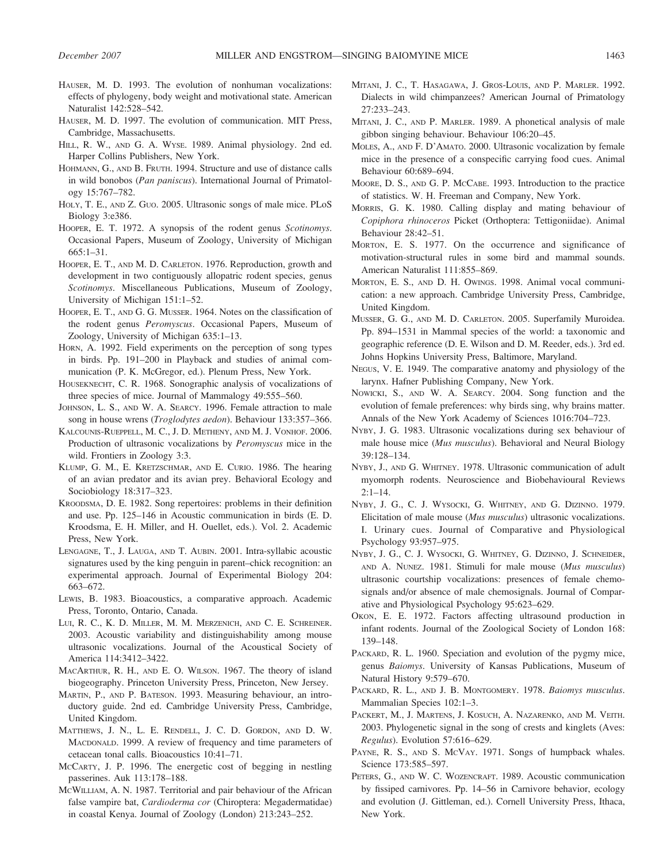- HAUSER, M. D. 1993. The evolution of nonhuman vocalizations: effects of phylogeny, body weight and motivational state. American Naturalist 142:528–542.
- HAUSER, M. D. 1997. The evolution of communication. MIT Press, Cambridge, Massachusetts.
- HILL, R. W., AND G. A. WYSE. 1989. Animal physiology. 2nd ed. Harper Collins Publishers, New York.
- HOHMANN, G., AND B. FRUTH. 1994. Structure and use of distance calls in wild bonobos (Pan paniscus). International Journal of Primatology 15:767–782.
- HOLY, T. E., AND Z. GUO. 2005. Ultrasonic songs of male mice. PLoS Biology 3:e386.
- HOOPER, E. T. 1972. A synopsis of the rodent genus Scotinomys. Occasional Papers, Museum of Zoology, University of Michigan 665:1–31.
- HOOPER, E. T., AND M. D. CARLETON. 1976. Reproduction, growth and development in two contiguously allopatric rodent species, genus Scotinomys. Miscellaneous Publications, Museum of Zoology, University of Michigan 151:1–52.
- HOOPER, E. T., AND G. G. MUSSER. 1964. Notes on the classification of the rodent genus Peromyscus. Occasional Papers, Museum of Zoology, University of Michigan 635:1–13.
- HORN, A. 1992. Field experiments on the perception of song types in birds. Pp. 191–200 in Playback and studies of animal communication (P. K. McGregor, ed.). Plenum Press, New York.
- HOUSEKNECHT, C. R. 1968. Sonographic analysis of vocalizations of three species of mice. Journal of Mammalogy 49:555–560.
- JOHNSON, L. S., AND W. A. SEARCY. 1996. Female attraction to male song in house wrens (Troglodytes aedon). Behaviour 133:357-366.
- KALCOUNIS-RUEPPELL, M. C., J. D. METHENY, AND M. J. VONHOF. 2006. Production of ultrasonic vocalizations by Peromyscus mice in the wild. Frontiers in Zoology 3:3.
- KLUMP, G. M., E. KRETZSCHMAR, AND E. CURIO. 1986. The hearing of an avian predator and its avian prey. Behavioral Ecology and Sociobiology 18:317–323.
- KROODSMA, D. E. 1982. Song repertoires: problems in their definition and use. Pp. 125–146 in Acoustic communication in birds (E. D. Kroodsma, E. H. Miller, and H. Ouellet, eds.). Vol. 2. Academic Press, New York.
- LENGAGNE, T., J. LAUGA, AND T. AUBIN. 2001. Intra-syllabic acoustic signatures used by the king penguin in parent–chick recognition: an experimental approach. Journal of Experimental Biology 204: 663–672.
- LEWIS, B. 1983. Bioacoustics, a comparative approach. Academic Press, Toronto, Ontario, Canada.
- LUI, R. C., K. D. MILLER, M. M. MERZENICH, AND C. E. SCHREINER. 2003. Acoustic variability and distinguishability among mouse ultrasonic vocalizations. Journal of the Acoustical Society of America 114:3412–3422.
- MACARTHUR, R. H., AND E. O. WILSON. 1967. The theory of island biogeography. Princeton University Press, Princeton, New Jersey.
- MARTIN, P., AND P. BATESON. 1993. Measuring behaviour, an introductory guide. 2nd ed. Cambridge University Press, Cambridge, United Kingdom.
- MATTHEWS, J. N., L. E. RENDELL, J. C. D. GORDON, AND D. W. MACDONALD. 1999. A review of frequency and time parameters of cetacean tonal calls. Bioacoustics 10:41–71.
- MCCARTY, J. P. 1996. The energetic cost of begging in nestling passerines. Auk 113:178–188.
- MCWILLIAM, A. N. 1987. Territorial and pair behaviour of the African false vampire bat, Cardioderma cor (Chiroptera: Megadermatidae) in coastal Kenya. Journal of Zoology (London) 213:243–252.
- MITANI, J. C., T. HASAGAWA, J. GROS-LOUIS, AND P. MARLER. 1992. Dialects in wild chimpanzees? American Journal of Primatology 27:233–243.
- MITANI, J. C., AND P. MARLER. 1989. A phonetical analysis of male gibbon singing behaviour. Behaviour 106:20–45.
- MOLES, A., AND F. D'AMATO. 2000. Ultrasonic vocalization by female mice in the presence of a conspecific carrying food cues. Animal Behaviour 60:689–694.
- MOORE, D. S., AND G. P. MCCABE. 1993. Introduction to the practice of statistics. W. H. Freeman and Company, New York.
- MORRIS, G. K. 1980. Calling display and mating behaviour of Copiphora rhinoceros Picket (Orthoptera: Tettigoniidae). Animal Behaviour 28:42–51.
- MORTON, E. S. 1977. On the occurrence and significance of motivation-structural rules in some bird and mammal sounds. American Naturalist 111:855–869.
- MORTON, E. S., AND D. H. OWINGS. 1998. Animal vocal communication: a new approach. Cambridge University Press, Cambridge, United Kingdom.
- MUSSER, G. G., AND M. D. CARLETON. 2005. Superfamily Muroidea. Pp. 894–1531 in Mammal species of the world: a taxonomic and geographic reference (D. E. Wilson and D. M. Reeder, eds.). 3rd ed. Johns Hopkins University Press, Baltimore, Maryland.
- NEGUS, V. E. 1949. The comparative anatomy and physiology of the larynx. Hafner Publishing Company, New York.
- NOWICKI, S., AND W. A. SEARCY. 2004. Song function and the evolution of female preferences: why birds sing, why brains matter. Annals of the New York Academy of Sciences 1016:704–723.
- NYBY, J. G. 1983. Ultrasonic vocalizations during sex behaviour of male house mice (Mus musculus). Behavioral and Neural Biology 39:128–134.
- NYBY, J., AND G. WHITNEY. 1978. Ultrasonic communication of adult myomorph rodents. Neuroscience and Biobehavioural Reviews  $2.1 - 14$
- NYBY, J. G., C. J. WYSOCKI, G. WHITNEY, AND G. DIZINNO. 1979. Elicitation of male mouse (Mus musculus) ultrasonic vocalizations. I. Urinary cues. Journal of Comparative and Physiological Psychology 93:957–975.
- NYBY, J. G., C. J. WYSOCKI, G. WHITNEY, G. DIZINNO, J. SCHNEIDER, AND A. NUNEZ. 1981. Stimuli for male mouse (Mus musculus) ultrasonic courtship vocalizations: presences of female chemosignals and/or absence of male chemosignals. Journal of Comparative and Physiological Psychology 95:623–629.
- OKON, E. E. 1972. Factors affecting ultrasound production in infant rodents. Journal of the Zoological Society of London 168: 139–148.
- PACKARD, R. L. 1960. Speciation and evolution of the pygmy mice, genus Baiomys. University of Kansas Publications, Museum of Natural History 9:579–670.
- PACKARD, R. L., AND J. B. MONTGOMERY. 1978. Baiomys musculus. Mammalian Species 102:1–3.
- PACKERT, M., J. MARTENS, J. KOSUCH, A. NAZARENKO, AND M. VEITH. 2003. Phylogenetic signal in the song of crests and kinglets (Aves: Regulus). Evolution 57:616–629.
- PAYNE, R. S., AND S. McVAY. 1971. Songs of humpback whales. Science 173:585–597.
- PETERS, G., AND W. C. WOZENCRAFT. 1989. Acoustic communication by fissiped carnivores. Pp. 14–56 in Carnivore behavior, ecology and evolution (J. Gittleman, ed.). Cornell University Press, Ithaca, New York.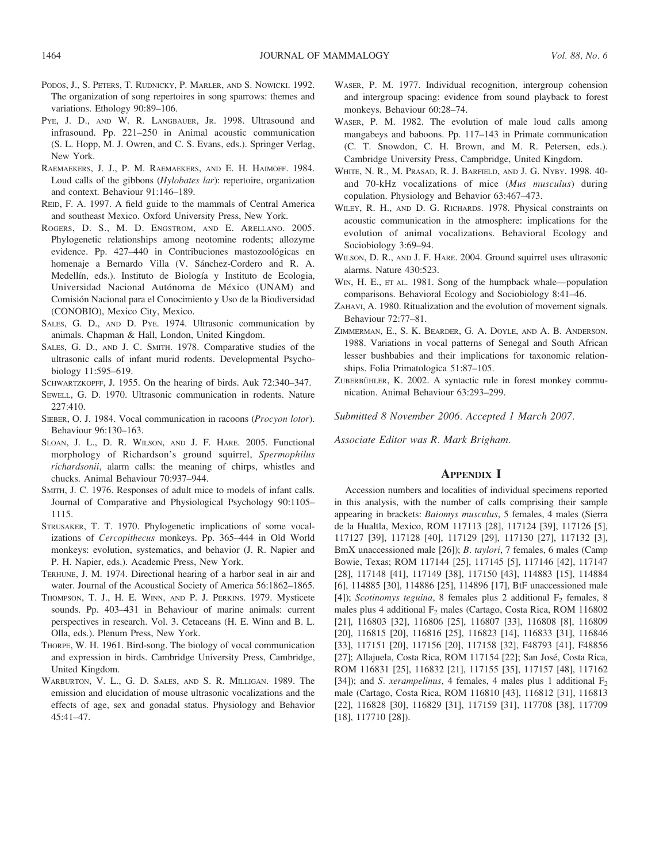- PODOS, J., S. PETERS, T. RUDNICKY, P. MARLER, AND S. NOWICKI. 1992. The organization of song repertoires in song sparrows: themes and variations. Ethology 90:89–106.
- PYE, J. D., AND W. R. LANGBAUER, JR. 1998. Ultrasound and infrasound. Pp. 221–250 in Animal acoustic communication (S. L. Hopp, M. J. Owren, and C. S. Evans, eds.). Springer Verlag, New York.
- RAEMAEKERS, J. J., P. M. RAEMAEKERS, AND E. H. HAIMOFF. 1984. Loud calls of the gibbons (Hylobates lar): repertoire, organization and context. Behaviour 91:146–189.
- REID, F. A. 1997. A field guide to the mammals of Central America and southeast Mexico. Oxford University Press, New York.
- ROGERS, D. S., M. D. ENGSTROM, AND E. ARELLANO. 2005. Phylogenetic relationships among neotomine rodents; allozyme evidence. Pp. 427-440 in Contribuciones mastozoológicas en homenaje a Bernardo Villa (V. Sánchez-Cordero and R. A. Medellín, eds.). Instituto de Biología y Instituto de Ecologia, Universidad Nacional Autónoma de México (UNAM) and Comisión Nacional para el Conocimiento y Uso de la Biodiversidad (CONOBIO), Mexico City, Mexico.
- SALES, G. D., AND D. PYE. 1974. Ultrasonic communication by animals. Chapman & Hall, London, United Kingdom.
- SALES, G. D., AND J. C. SMITH. 1978. Comparative studies of the ultrasonic calls of infant murid rodents. Developmental Psychobiology 11:595–619.
- SCHWARTZKOPFF, J. 1955. On the hearing of birds. Auk 72:340–347.
- SEWELL, G. D. 1970. Ultrasonic communication in rodents. Nature 227:410.
- SIEBER, O. J. 1984. Vocal communication in racoons (Procyon lotor). Behaviour 96:130–163.
- SLOAN, J. L., D. R. WILSON, AND J. F. HARE. 2005. Functional morphology of Richardson's ground squirrel, Spermophilus richardsonii, alarm calls: the meaning of chirps, whistles and chucks. Animal Behaviour 70:937–944.
- SMITH, J. C. 1976. Responses of adult mice to models of infant calls. Journal of Comparative and Physiological Psychology 90:1105– 1115.
- STRUSAKER, T. T. 1970. Phylogenetic implications of some vocalizations of Cercopithecus monkeys. Pp. 365–444 in Old World monkeys: evolution, systematics, and behavior (J. R. Napier and P. H. Napier, eds.). Academic Press, New York.
- TERHUNE, J. M. 1974. Directional hearing of a harbor seal in air and water. Journal of the Acoustical Society of America 56:1862–1865.
- THOMPSON, T. J., H. E. WINN, AND P. J. PERKINS. 1979. Mysticete sounds. Pp. 403–431 in Behaviour of marine animals: current perspectives in research. Vol. 3. Cetaceans (H. E. Winn and B. L. Olla, eds.). Plenum Press, New York.
- THORPE, W. H. 1961. Bird-song. The biology of vocal communication and expression in birds. Cambridge University Press, Cambridge, United Kingdom.
- WARBURTON, V. L., G. D. SALES, AND S. R. MILLIGAN. 1989. The emission and elucidation of mouse ultrasonic vocalizations and the effects of age, sex and gonadal status. Physiology and Behavior 45:41–47.
- WASER, P. M. 1977. Individual recognition, intergroup cohension and intergroup spacing: evidence from sound playback to forest monkeys. Behaviour 60:28–74.
- WASER, P. M. 1982. The evolution of male loud calls among mangabeys and baboons. Pp. 117–143 in Primate communication (C. T. Snowdon, C. H. Brown, and M. R. Petersen, eds.). Cambridge University Press, Campbridge, United Kingdom.
- WHITE, N. R., M. PRASAD, R. J. BARFIELD, AND J. G. NYBY. 1998. 40 and 70-kHz vocalizations of mice (Mus musculus) during copulation. Physiology and Behavior 63:467–473.
- WILEY, R. H., AND D. G. RICHARDS. 1978. Physical constraints on acoustic communication in the atmosphere: implications for the evolution of animal vocalizations. Behavioral Ecology and Sociobiology 3:69–94.
- WILSON, D. R., AND J. F. HARE. 2004. Ground squirrel uses ultrasonic alarms. Nature 430:523.
- W<sub>IN</sub>, H. E., ET AL. 1981. Song of the humpback whale—population comparisons. Behavioral Ecology and Sociobiology 8:41–46.
- ZAHAVI, A. 1980. Ritualization and the evolution of movement signals. Behaviour 72:77–81.
- ZIMMERMAN, E., S. K. BEARDER, G. A. DOYLE, AND A. B. ANDERSON. 1988. Variations in vocal patterns of Senegal and South African lesser bushbabies and their implications for taxonomic relationships. Folia Primatologica 51:87–105.
- ZUBERBÜHLER, K. 2002. A syntactic rule in forest monkey communication. Animal Behaviour 63:293–299.

Submitted 8 November 2006. Accepted 1 March 2007.

Associate Editor was R. Mark Brigham.

### **APPENDIX I**

Accession numbers and localities of individual specimens reported in this analysis, with the number of calls comprising their sample appearing in brackets: Baiomys musculus, 5 females, 4 males (Sierra de la Hualtla, Mexico, ROM 117113 [28], 117124 [39], 117126 [5], 117127 [39], 117128 [40], 117129 [29], 117130 [27], 117132 [3], BmX unaccessioned male [26]); B. taylori, 7 females, 6 males (Camp Bowie, Texas; ROM 117144 [25], 117145 [5], 117146 [42], 117147 [28], 117148 [41], 117149 [38], 117150 [43], 114883 [15], 114884 [6], 114885 [30], 114886 [25], 114896 [17], BtF unaccessioned male [4]); Scotinomys teguina, 8 females plus 2 additional  $F_2$  females, 8 males plus 4 additional F<sub>2</sub> males (Cartago, Costa Rica, ROM 116802 [21], 116803 [32], 116806 [25], 116807 [33], 116808 [8], 116809 [20], 116815 [20], 116816 [25], 116823 [14], 116833 [31], 116846 [33], 117151 [20], 117156 [20], 117158 [32], F48793 [41], F48856 [27]; Allajuela, Costa Rica, ROM 117154 [22]; San José, Costa Rica, ROM 116831 [25], 116832 [21], 117155 [35], 117157 [48], 117162 [34]); and S. *xerampelinus*, 4 females, 4 males plus 1 additional  $F_2$ male (Cartago, Costa Rica, ROM 116810 [43], 116812 [31], 116813 [22], 116828 [30], 116829 [31], 117159 [31], 117708 [38], 117709 [18], 117710 [28]).